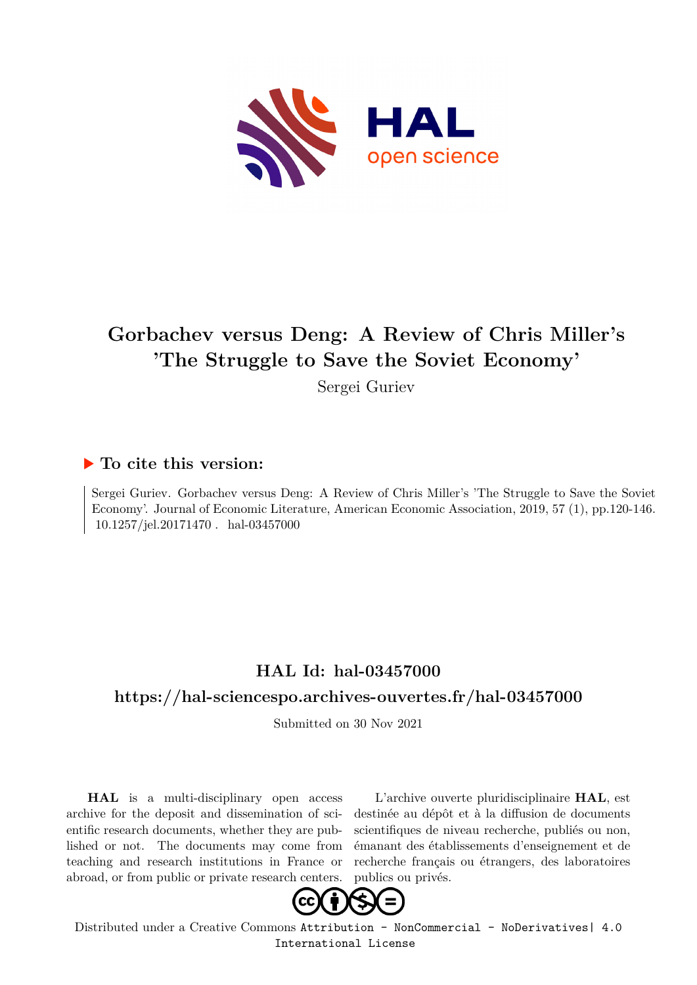

# **Gorbachev versus Deng: A Review of Chris Miller's 'The Struggle to Save the Soviet Economy'**

Sergei Guriev

## **To cite this version:**

Sergei Guriev. Gorbachev versus Deng: A Review of Chris Miller's 'The Struggle to Save the Soviet Economy'. Journal of Economic Literature, American Economic Association, 2019, 57 (1), pp.120-146. 10.1257/jel.20171470. hal-03457000

## **HAL Id: hal-03457000**

### **<https://hal-sciencespo.archives-ouvertes.fr/hal-03457000>**

Submitted on 30 Nov 2021

**HAL** is a multi-disciplinary open access archive for the deposit and dissemination of scientific research documents, whether they are published or not. The documents may come from teaching and research institutions in France or abroad, or from public or private research centers.

L'archive ouverte pluridisciplinaire **HAL**, est destinée au dépôt et à la diffusion de documents scientifiques de niveau recherche, publiés ou non, émanant des établissements d'enseignement et de recherche français ou étrangers, des laboratoires publics ou privés.



Distributed under a Creative Commons [Attribution - NonCommercial - NoDerivatives| 4.0](http://creativecommons.org/licenses/by-nc-nd/4.0/) [International License](http://creativecommons.org/licenses/by-nc-nd/4.0/)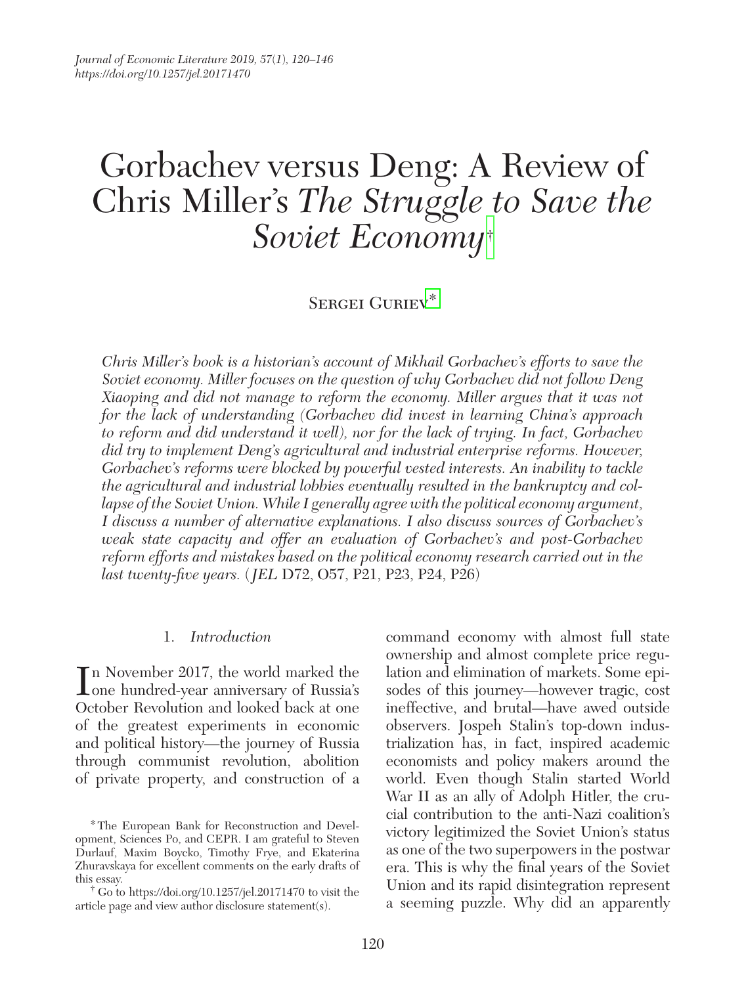# Gorbachev versus Deng: A Review of Chris Miller's *The Struggle to Save the Soviet Economy*†

#### Sergei Guriev\*

*Chris Miller's book is a historian's account of Mikhail Gorbachev's efforts to save the Soviet economy. Miller focuses on the question of why Gorbachev did not follow Deng Xiaoping and did not manage to reform the economy. Miller argues that it was not for the lack of understanding (Gorbachev did invest in learning China's approach to reform and did understand it well), nor for the lack of trying. In fact, Gorbachev did try to implement Deng's agricultural and industrial enterprise reforms. However, Gorbachev's reforms were blocked by powerful vested interests. An inability to tackle the agricultural and industrial lobbies eventually resulted in the bankruptcy and col*lapse of the Soviet Union. While I generally agree with the political economy argument, *I discuss a number of alternative explanations. I also discuss sources of Gorbachev's weak state capacity and offer an evaluation of Gorbachev's and post-Gorbachev reform efforts and mistakes based on the political economy research carried out in the last twenty-five years.* (*JEL* D72, O57, P21, P23, P24, P26)

#### 1. *Introduction*

In November 2017, the world marked the<br>
one hundred-year anniversary of Russia's one hundred-year anniversary of Russia's October Revolution and looked back at one of the greatest experiments in economic and political history—the journey of Russia through communist revolution, abolition of private property, and construction of a

command economy with almost full state ownership and almost complete price regulation and elimination of markets. Some episodes of this journey—however tragic, cost ineffective, and brutal—have awed outside observers. Jospeh Stalin's top-down industrialization has, in fact, inspired academic economists and policy makers around the world. Even though Stalin started World War II as an ally of Adolph Hitler, the crucial contribution to the anti-Nazi coalition's victory legitimized the Soviet Union's status as one of the two superpowers in the postwar era. This is why the final years of the Soviet Union and its rapid disintegration represent a seeming puzzle. Why did an apparently

<sup>\*</sup>The European Bank for Reconstruction and Development, Sciences Po, and CEPR. I am grateful to Steven Durlauf, Maxim Boycko, Timothy Frye, and Ekaterina Zhuravskaya for excellent comments on the early drafts of this essay. † Go to <https://doi.org/10.1257/jel.20171470> to visit the

article page and view author disclosure statement(s).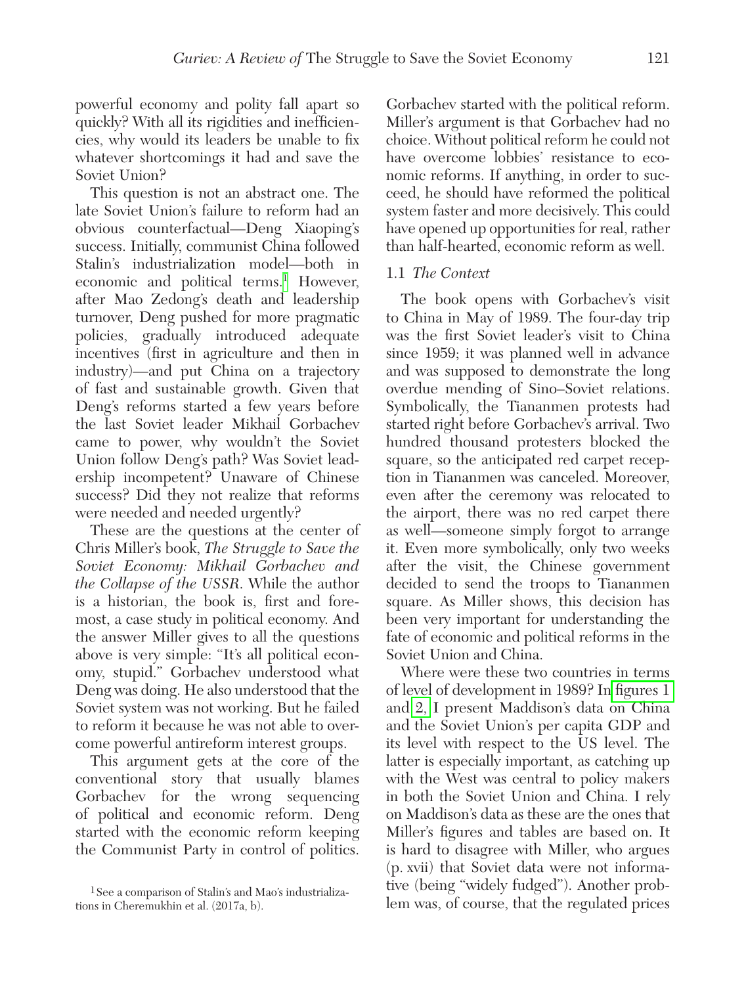powerful economy and polity fall apart so quickly? With all its rigidities and inefficiencies, why would its leaders be unable to fix whatever shortcomings it had and save the Soviet Union?

This question is not an abstract one. The late Soviet Union's failure to reform had an obvious counterfactual—Deng Xiaoping's success. Initially, communist China followed Stalin's industrialization model—both in economic and political terms.<sup>1</sup> However, after Mao Zedong's death and leadership turnover, Deng pushed for more pragmatic policies, gradually introduced adequate incentives (first in agriculture and then in industry)—and put China on a trajectory of fast and sustainable growth. Given that Deng's reforms started a few years before the last Soviet leader Mikhail Gorbachev came to power, why wouldn't the Soviet Union follow Deng's path? Was Soviet leadership incompetent? Unaware of Chinese success? Did they not realize that reforms were needed and needed urgently?

These are the questions at the center of Chris Miller's book, *The Struggle to Save the Soviet Economy: Mikhail Gorbachev and the Collapse of the USSR*. While the author is a historian, the book is, first and foremost, a case study in political economy. And the answer Miller gives to all the questions above is very simple: "It's all political economy, stupid." Gorbachev understood what Deng was doing. He also understood that the Soviet system was not working. But he failed to reform it because he was not able to overcome powerful antireform interest groups.

This argument gets at the core of the conventional story that usually blames Gorbachev for the wrong sequencing of political and economic reform. Deng started with the economic reform keeping the Communist Party in control of politics.

Gorbachev started with the political reform. Miller's argument is that Gorbachev had no choice. Without political reform he could not have overcome lobbies' resistance to economic reforms. If anything, in order to succeed, he should have reformed the political system faster and more decisively. This could have opened up opportunities for real, rather than half-hearted, economic reform as well.

#### 1.1 *The Context*

The book opens with Gorbachev's visit to China in May of 1989. The four-day trip was the first Soviet leader's visit to China since 1959; it was planned well in advance and was supposed to demonstrate the long overdue mending of Sino–Soviet relations. Symbolically, the Tiananmen protests had started right before Gorbachev's arrival. Two hundred thousand protesters blocked the square, so the anticipated red carpet reception in Tiananmen was canceled. Moreover, even after the ceremony was relocated to the airport, there was no red carpet there as well—someone simply forgot to arrange it. Even more symbolically, only two weeks after the visit, the Chinese government decided to send the troops to Tiananmen square. As Miller shows, this decision has been very important for understanding the fate of economic and political reforms in the Soviet Union and China.

Where were these two countries in terms of level of development in 1989? In [figures](#page-3-0) 1 and [2,](#page-4-0) I present Maddison's data on China and the Soviet Union's per capita GDP and its level with respect to the US level. The latter is especially important, as catching up with the West was central to policy makers in both the Soviet Union and China. I rely on Maddison's data as these are the ones that Miller's figures and tables are based on. It is hard to disagree with Miller, who argues (p. xvii) that Soviet data were not informative (being "widely fudged"). Another problem was, of course, that the regulated prices

<sup>1</sup>See a comparison of Stalin's and Mao's industrializations in Cheremukhin et al. (2017a, b).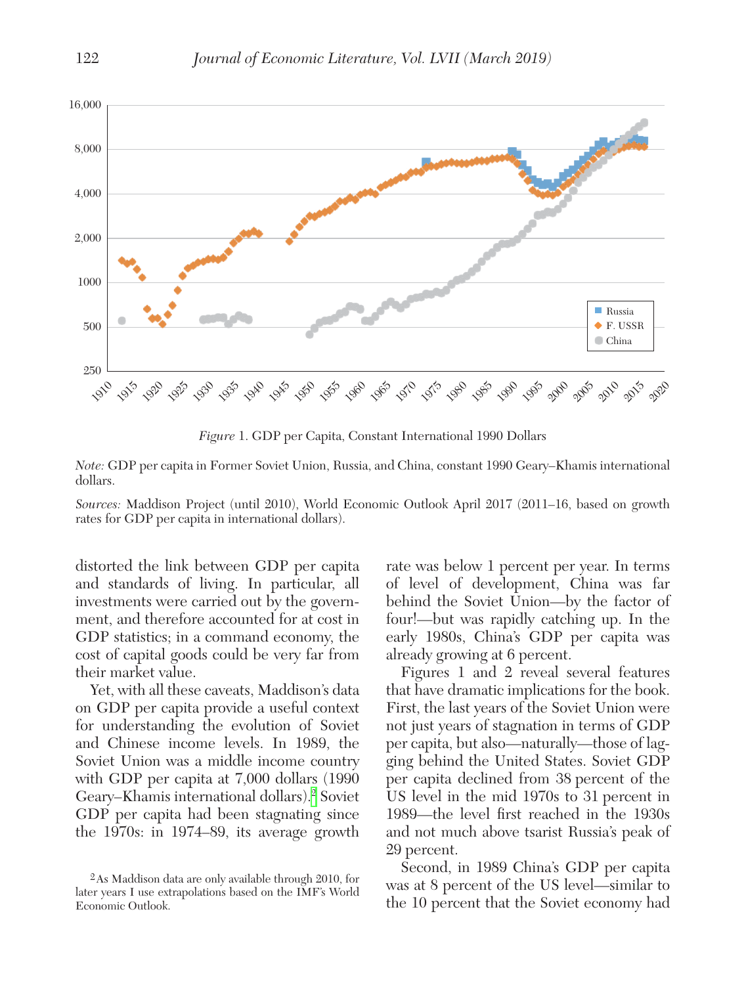<span id="page-3-0"></span>

*Figure* 1. GDP per Capita, Constant International 1990 Dollars

*Note:* GDP per capita in Former Soviet Union, Russia, and China, constant 1990 Geary–Khamis international dollars.

*Sources:* Maddison Project (until 2010), World Economic Outlook April 2017 (2011–16, based on growth rates for GDP per capita in international dollars).

distorted the link between GDP per capita and standards of living. In particular, all investments were carried out by the government, and therefore accounted for at cost in GDP statistics; in a command economy, the cost of capital goods could be very far from their market value.

Yet, with all these caveats, Maddison's data on GDP per capita provide a useful context for understanding the evolution of Soviet and Chinese income levels. In 1989, the Soviet Union was a middle income country with GDP per capita at 7,000 dollars (1990 Geary-Khamis international dollars).<sup>2</sup> Soviet GDP per capita had been stagnating since the 1970s: in 1974–89, its average growth

rate was below 1 percent per year. In terms of level of development, China was far behind the Soviet Union—by the factor of four!—but was rapidly catching up. In the early 1980s, China's GDP per capita was already growing at 6 percent.

Figures 1 and 2 reveal several features that have dramatic implications for the book. First, the last years of the Soviet Union were not just years of stagnation in terms of GDP per capita, but also—naturally—those of lagging behind the United States. Soviet GDP per capita declined from 38 percent of the US level in the mid 1970s to 31 percent in 1989—the level first reached in the 1930s and not much above tsarist Russia's peak of 29 percent.

Second, in 1989 China's GDP per capita was at 8 percent of the US level—similar to the 10 percent that the Soviet economy had

<sup>2</sup>As Maddison data are only available through 2010, for later years I use extrapolations based on the IMF's World Economic Outlook.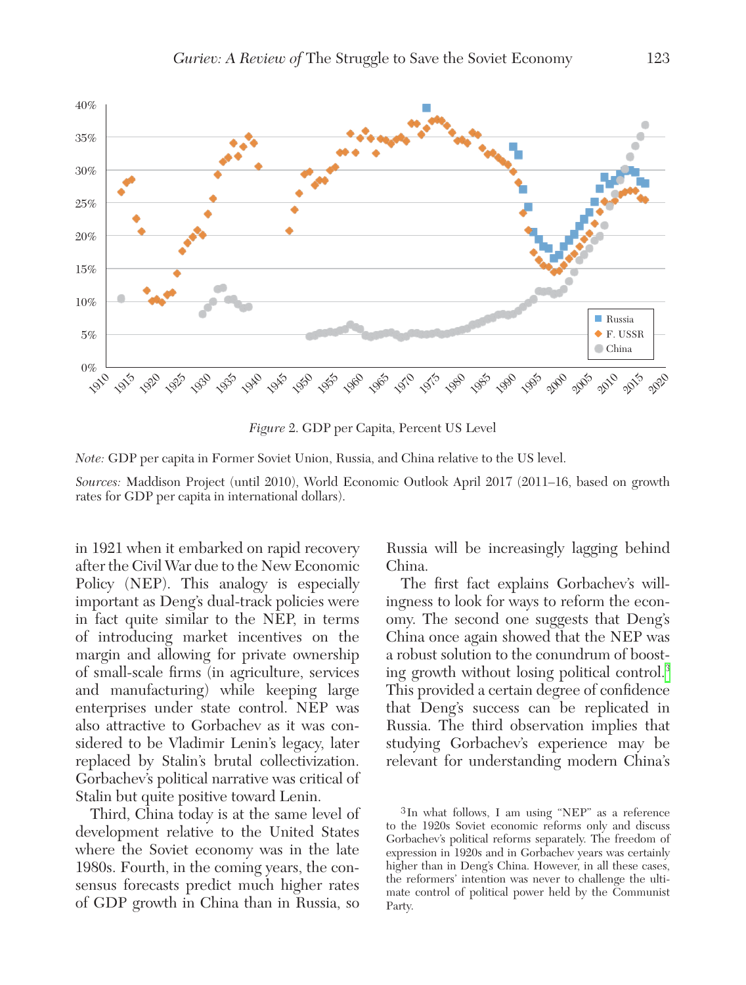<span id="page-4-0"></span>

*Figure* 2. GDP per Capita, Percent US Level

*Note:* GDP per capita in Former Soviet Union, Russia, and China relative to the US level.

*Sources:* Maddison Project (until 2010), World Economic Outlook April 2017 (2011–16, based on growth rates for GDP per capita in international dollars).

in 1921 when it embarked on rapid recovery after the Civil War due to the New Economic Policy (NEP). This analogy is especially important as Deng's dual-track policies were in fact quite similar to the NEP, in terms of introducing market incentives on the margin and allowing for private ownership of small-scale firms (in agriculture, services and manufacturing) while keeping large enterprises under state control. NEP was also attractive to Gorbachev as it was considered to be Vladimir Lenin's legacy, later replaced by Stalin's brutal collectivization. Gorbachev's political narrative was critical of Stalin but quite positive toward Lenin.

Third, China today is at the same level of development relative to the United States where the Soviet economy was in the late 1980s. Fourth, in the coming years, the consensus forecasts predict much higher rates of GDP growth in China than in Russia, so

Russia will be increasingly lagging behind China.

The first fact explains Gorbachev's willingness to look for ways to reform the economy. The second one suggests that Deng's China once again showed that the NEP was a robust solution to the conundrum of boosting growth without losing political control.3 This provided a certain degree of confidence that Deng's success can be replicated in Russia. The third observation implies that studying Gorbachev's experience may be relevant for understanding modern China's

<sup>3</sup>In what follows, I am using "NEP" as a reference to the 1920s Soviet economic reforms only and discuss Gorbachev's political reforms separately. The freedom of expression in 1920s and in Gorbachev years was certainly higher than in Deng's China. However, in all these cases, the reformers' intention was never to challenge the ultimate control of political power held by the Communist Party.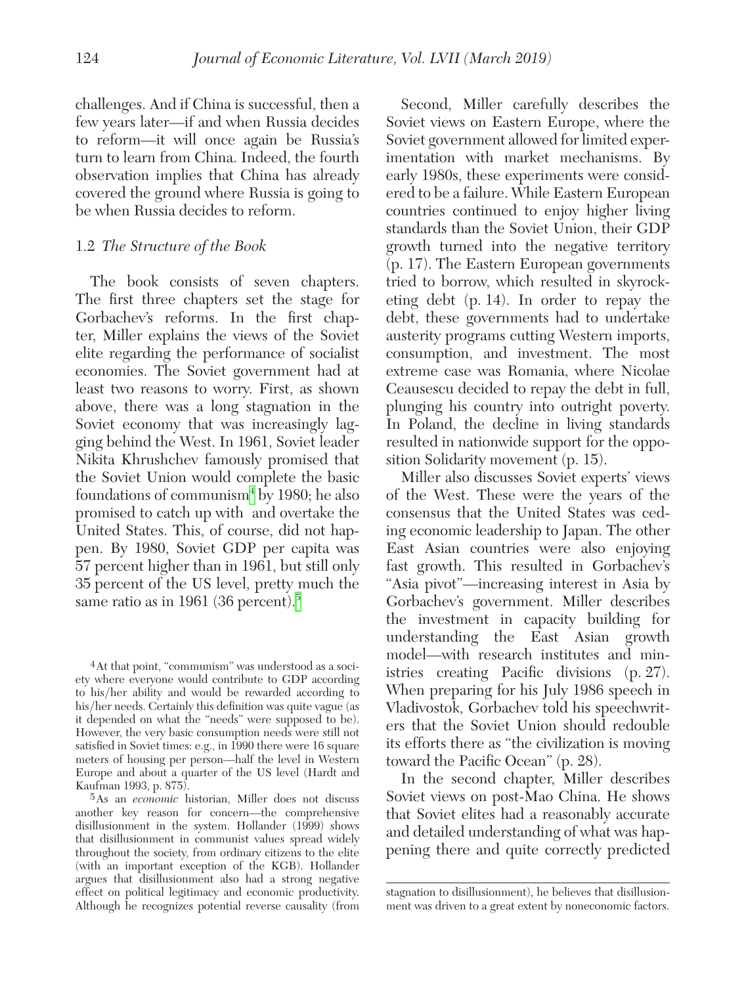challenges. And if China is successful, then a few years later—if and when Russia decides to reform—it will once again be Russia's turn to learn from China. Indeed, the fourth observation implies that China has already covered the ground where Russia is going to be when Russia decides to reform.

#### 1.2 *The Structure of the Book*

The book consists of seven chapters. The first three chapters set the stage for Gorbachev's reforms. In the first chapter, Miller explains the views of the Soviet elite regarding the performance of socialist economies. The Soviet government had at least two reasons to worry. First, as shown above, there was a long stagnation in the Soviet economy that was increasingly lagging behind the West. In 1961, Soviet leader Nikita Khrushchev famously promised that the Soviet Union would complete the basic foundations of communism<sup>4</sup> by 1980; he also promised to catch up with and overtake the United States. This, of course, did not happen. By 1980, Soviet GDP per capita was 57 percent higher than in 1961, but still only 35 percent of the US level, pretty much the same ratio as in 1961 (36 percent).<sup>5</sup>

4At that point, "communism" was understood as a society where everyone would contribute to GDP according to his/her ability and would be rewarded according to his/her needs. Certainly this definition was quite vague (as it depended on what the "needs" were supposed to be). However, the very basic consumption needs were still not satisfied in Soviet times: e.g., in 1990 there were 16 square meters of housing per person—half the level in Western Europe and about a quarter of the US level (Hardt and Kaufman 1993, p. 875).

5As an *economic* historian, Miller does not discuss another key reason for concern—the comprehensive disillusionment in the system. Hollander (1999) shows that disillusionment in communist values spread widely throughout the society, from ordinary citizens to the elite (with an important exception of the KGB). Hollander argues that disillusionment also had a strong negative effect on political legitimacy and economic productivity. Although he recognizes potential reverse causality (from

Second, Miller carefully describes the Soviet views on Eastern Europe, where the Soviet government allowed for limited experimentation with market mechanisms. By early 1980s, these experiments were considered to be a failure. While Eastern European countries continued to enjoy higher living standards than the Soviet Union, their GDP growth turned into the negative territory (p. 17). The Eastern European governments tried to borrow, which resulted in skyrocketing debt (p. 14). In order to repay the debt, these governments had to undertake austerity programs cutting Western imports, consumption, and investment. The most extreme case was Romania, where Nicolae Ceausescu decided to repay the debt in full, plunging his country into outright poverty. In Poland, the decline in living standards resulted in nationwide support for the opposition Solidarity movement (p. 15).

Miller also discusses Soviet experts' views of the West. These were the years of the consensus that the United States was ceding economic leadership to Japan. The other East Asian countries were also enjoying fast growth. This resulted in Gorbachev's "Asia pivot"—increasing interest in Asia by Gorbachev's government. Miller describes the investment in capacity building for understanding the East Asian growth model—with research institutes and ministries creating Pacific divisions (p. 27). When preparing for his July 1986 speech in Vladivostok, Gorbachev told his speechwriters that the Soviet Union should redouble its efforts there as "the civilization is moving toward the Pacific Ocean" (p. 28).

In the second chapter, Miller describes Soviet views on post-Mao China. He shows that Soviet elites had a reasonably accurate and detailed understanding of what was happening there and quite correctly predicted

stagnation to disillusionment), he believes that disillusionment was driven to a great extent by noneconomic factors.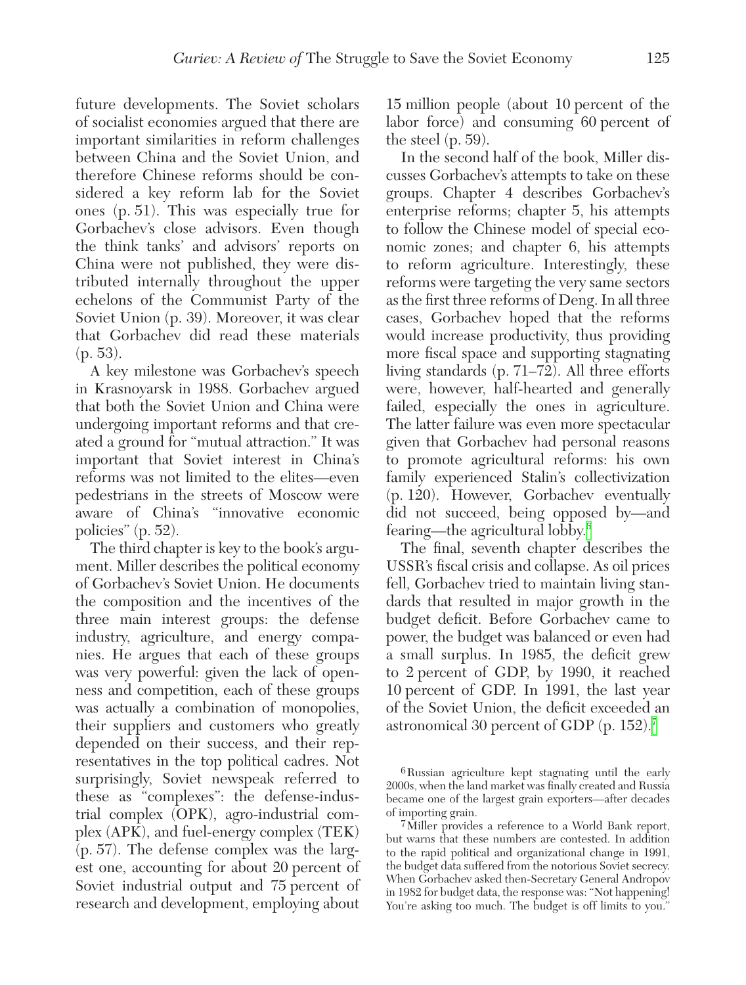future developments. The Soviet scholars of socialist economies argued that there are important similarities in reform challenges between China and the Soviet Union, and therefore Chinese reforms should be considered a key reform lab for the Soviet ones (p. 51). This was especially true for Gorbachev's close advisors. Even though the think tanks' and advisors' reports on China were not published, they were distributed internally throughout the upper echelons of the Communist Party of the Soviet Union (p. 39). Moreover, it was clear that Gorbachev did read these materials (p. 53).

A key milestone was Gorbachev's speech in Krasnoyarsk in 1988. Gorbachev argued that both the Soviet Union and China were undergoing important reforms and that created a ground for "mutual attraction." It was important that Soviet interest in China's reforms was not limited to the elites—even pedestrians in the streets of Moscow were aware of China's "innovative economic policies" (p. 52).

The third chapter is key to the book's argument. Miller describes the political economy of Gorbachev's Soviet Union. He documents the composition and the incentives of the three main interest groups: the defense industry, agriculture, and energy companies. He argues that each of these groups was very powerful: given the lack of openness and competition, each of these groups was actually a combination of monopolies, their suppliers and customers who greatly depended on their success, and their representatives in the top political cadres. Not surprisingly, Soviet newspeak referred to these as "complexes": the defense-industrial complex (OPK), agro-industrial complex (APK), and fuel-energy complex (TEK) (p. 57). The defense complex was the largest one, accounting for about 20 percent of Soviet industrial output and 75 percent of research and development, employing about

15 million people (about 10 percent of the labor force) and consuming 60 percent of the steel (p. 59).

In the second half of the book, Miller discusses Gorbachev's attempts to take on these groups. Chapter 4 describes Gorbachev's enterprise reforms; chapter 5, his attempts to follow the Chinese model of special economic zones; and chapter 6, his attempts to reform agriculture. Interestingly, these reforms were targeting the very same sectors as the first three reforms of Deng. In all three cases, Gorbachev hoped that the reforms would increase productivity, thus providing more fiscal space and supporting stagnating living standards (p. 71–72). All three efforts were, however, half-hearted and generally failed, especially the ones in agriculture. The latter failure was even more spectacular given that Gorbachev had personal reasons to promote agricultural reforms: his own family experienced Stalin's collectivization (p. 120). However, Gorbachev eventually did not succeed, being opposed by—and fearing—the agricultural lobby.6

The final, seventh chapter describes the USSR's fiscal crisis and collapse. As oil prices fell, Gorbachev tried to maintain living standards that resulted in major growth in the budget deficit. Before Gorbachev came to power, the budget was balanced or even had a small surplus. In 1985, the deficit grew to 2 percent of GDP, by 1990, it reached 10 percent of GDP. In 1991, the last year of the Soviet Union, the deficit exceeded an astronomical 30 percent of GDP (p. 152).7

<sup>6</sup>Russian agriculture kept stagnating until the early 2000s, when the land market was finally created and Russia became one of the largest grain exporters—after decades of importing grain.

<sup>7</sup>Miller provides a reference to a World Bank report, but warns that these numbers are contested. In addition to the rapid political and organizational change in 1991, the budget data suffered from the notorious Soviet secrecy. When Gorbachev asked then-Secretary General Andropov in 1982 for budget data, the response was: "Not happening! You're asking too much. The budget is off limits to you.'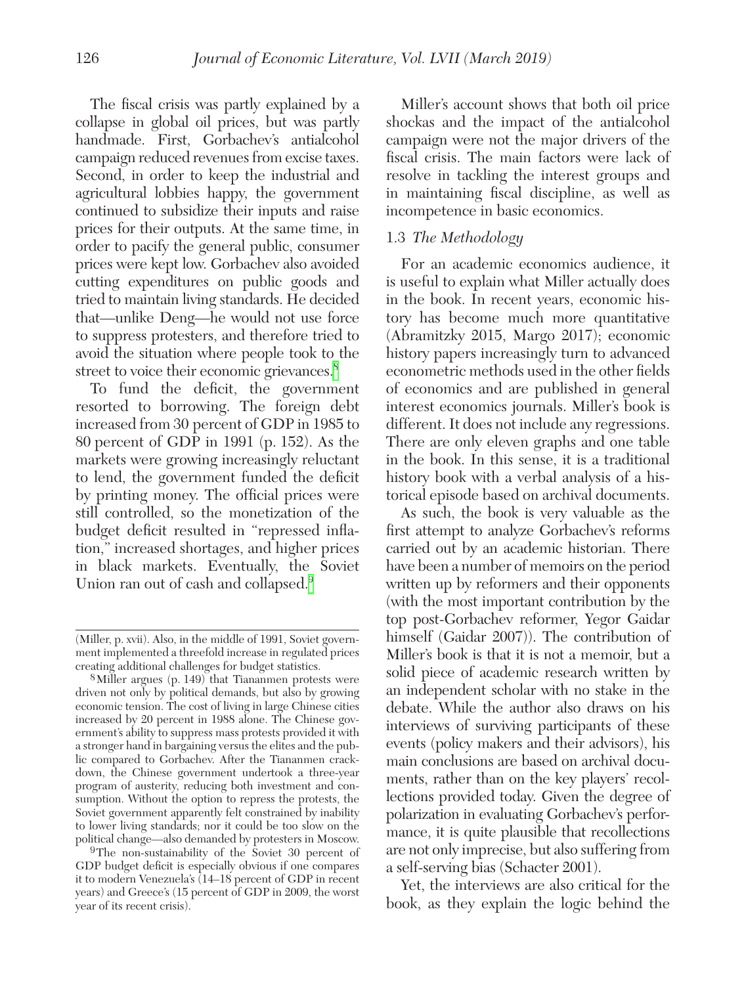The fiscal crisis was partly explained by a collapse in global oil prices, but was partly handmade. First, Gorbachev's antialcohol campaign reduced revenues from excise taxes. Second, in order to keep the industrial and agricultural lobbies happy, the government continued to subsidize their inputs and raise prices for their outputs. At the same time, in order to pacify the general public, consumer prices were kept low. Gorbachev also avoided cutting expenditures on public goods and tried to maintain living standards. He decided that—unlike Deng—he would not use force to suppress protesters, and therefore tried to avoid the situation where people took to the street to voice their economic grievances.<sup>8</sup>

To fund the deficit, the government resorted to borrowing. The foreign debt increased from 30 percent of GDP in 1985 to 80 percent of GDP in 1991 (p. 152). As the markets were growing increasingly reluctant to lend, the government funded the deficit by printing money. The official prices were still controlled, so the monetization of the budget deficit resulted in "repressed inflation," increased shortages, and higher prices in black markets. Eventually, the Soviet Union ran out of cash and collapsed.<sup>9</sup>

Miller's account shows that both oil price shockas and the impact of the antialcohol campaign were not the major drivers of the fiscal crisis. The main factors were lack of resolve in tackling the interest groups and in maintaining fiscal discipline, as well as incompetence in basic economics.

#### 1.3 *The Methodology*

For an academic economics audience, it is useful to explain what Miller actually does in the book. In recent years, economic history has become much more quantitative (Abramitzky 2015, Margo 2017); economic history papers increasingly turn to advanced econometric methods used in the other fields of economics and are published in general interest economics journals. Miller's book is different. It does not include any regressions. There are only eleven graphs and one table in the book. In this sense, it is a traditional history book with a verbal analysis of a historical episode based on archival documents.

As such, the book is very valuable as the first attempt to analyze Gorbachev's reforms carried out by an academic historian. There have been a number of memoirs on the period written up by reformers and their opponents (with the most important contribution by the top post-Gorbachev reformer, Yegor Gaidar himself (Gaidar 2007)). The contribution of Miller's book is that it is not a memoir, but a solid piece of academic research written by an independent scholar with no stake in the debate. While the author also draws on his interviews of surviving participants of these events (policy makers and their advisors), his main conclusions are based on archival documents, rather than on the key players' recollections provided today. Given the degree of polarization in evaluating Gorbachev's performance, it is quite plausible that recollections are not only imprecise, but also suffering from a self-serving bias (Schacter 2001).

Yet, the interviews are also critical for the book, as they explain the logic behind the

<sup>(</sup>Miller, p. xvii). Also, in the middle of 1991, Soviet government implemented a threefold increase in regulated prices creating additional challenges for budget statistics.

<sup>8</sup>Miller argues (p. 149) that Tiananmen protests were driven not only by political demands, but also by growing economic tension. The cost of living in large Chinese cities increased by 20 percent in 1988 alone. The Chinese government's ability to suppress mass protests provided it with a stronger hand in bargaining versus the elites and the public compared to Gorbachev. After the Tiananmen crackdown, the Chinese government undertook a three-year program of austerity, reducing both investment and consumption. Without the option to repress the protests, the Soviet government apparently felt constrained by inability to lower living standards; nor it could be too slow on the political change—also demanded by protesters in Moscow.

<sup>9</sup>The non-sustainability of the Soviet 30 percent of GDP budget deficit is especially obvious if one compares it to modern Venezuela's (14–18 percent of GDP in recent years) and Greece's (15 percent of GDP in 2009, the worst year of its recent crisis).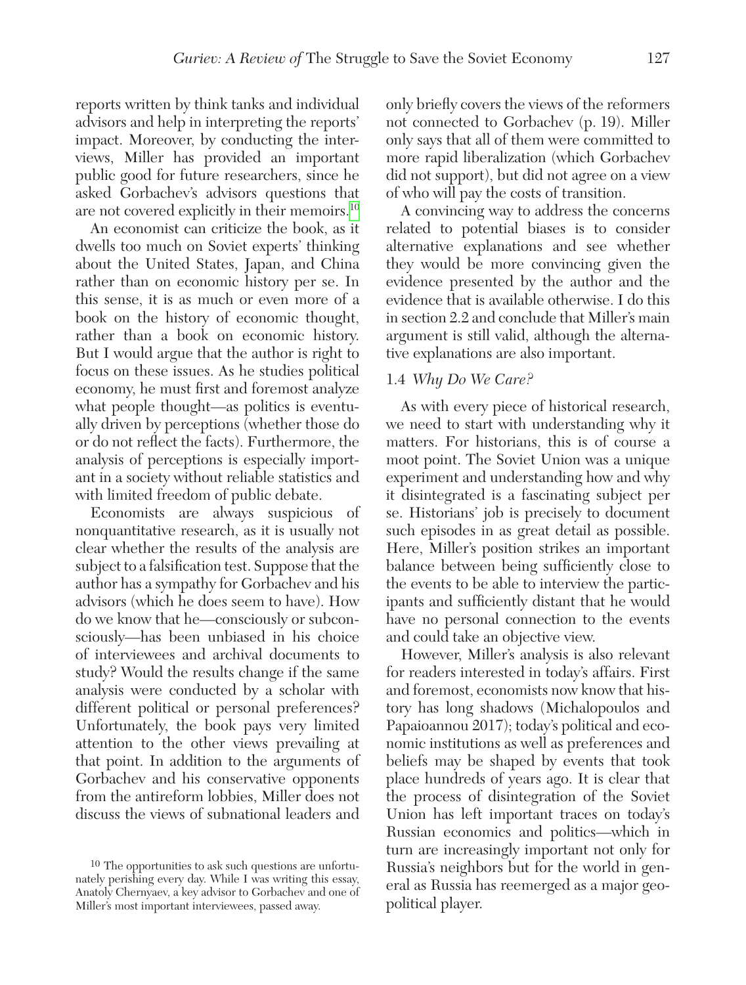reports written by think tanks and individual advisors and help in interpreting the reports' impact. Moreover, by conducting the interviews, Miller has provided an important public good for future researchers, since he asked Gorbachev's advisors questions that are not covered explicitly in their memoirs.10

An economist can criticize the book, as it dwells too much on Soviet experts' thinking about the United States, Japan, and China rather than on economic history per se. In this sense, it is as much or even more of a book on the history of economic thought, rather than a book on economic history. But I would argue that the author is right to focus on these issues. As he studies political economy, he must first and foremost analyze what people thought—as politics is eventually driven by perceptions (whether those do or do not reflect the facts). Furthermore, the analysis of perceptions is especially important in a society without reliable statistics and with limited freedom of public debate.

Economists are always suspicious of nonquantitative research, as it is usually not clear whether the results of the analysis are subject to a falsification test. Suppose that the author has a sympathy for Gorbachev and his advisors (which he does seem to have). How do we know that he—consciously or subconsciously—has been unbiased in his choice of interviewees and archival documents to study? Would the results change if the same analysis were conducted by a scholar with different political or personal preferences? Unfortunately, the book pays very limited attention to the other views prevailing at that point. In addition to the arguments of Gorbachev and his conservative opponents from the antireform lobbies, Miller does not discuss the views of subnational leaders and

10 The opportunities to ask such questions are unfortunately perishing every day. While I was writing this essay, Anatoly Chernyaev, a key advisor to Gorbachev and one of Miller's most important interviewees, passed away.

only briefly covers the views of the reformers not connected to Gorbachev (p. 19). Miller only says that all of them were committed to more rapid liberalization (which Gorbachev did not support), but did not agree on a view of who will pay the costs of transition.

A convincing way to address the concerns related to potential biases is to consider alternative explanations and see whether they would be more convincing given the evidence presented by the author and the evidence that is available otherwise. I do this in section 2.2 and conclude that Miller's main argument is still valid, although the alternative explanations are also important.

#### 1.4 *Why Do We Care?*

As with every piece of historical research, we need to start with understanding why it matters. For historians, this is of course a moot point. The Soviet Union was a unique experiment and understanding how and why it disintegrated is a fascinating subject per se. Historians' job is precisely to document such episodes in as great detail as possible. Here, Miller's position strikes an important balance between being sufficiently close to the events to be able to interview the participants and sufficiently distant that he would have no personal connection to the events and could take an objective view.

However, Miller's analysis is also relevant for readers interested in today's affairs. First and foremost, economists now know that history has long shadows (Michalopoulos and Papaioannou 2017); today's political and economic institutions as well as preferences and beliefs may be shaped by events that took place hundreds of years ago. It is clear that the process of disintegration of the Soviet Union has left important traces on today's Russian economics and politics—which in turn are increasingly important not only for Russia's neighbors but for the world in general as Russia has reemerged as a major geopolitical player.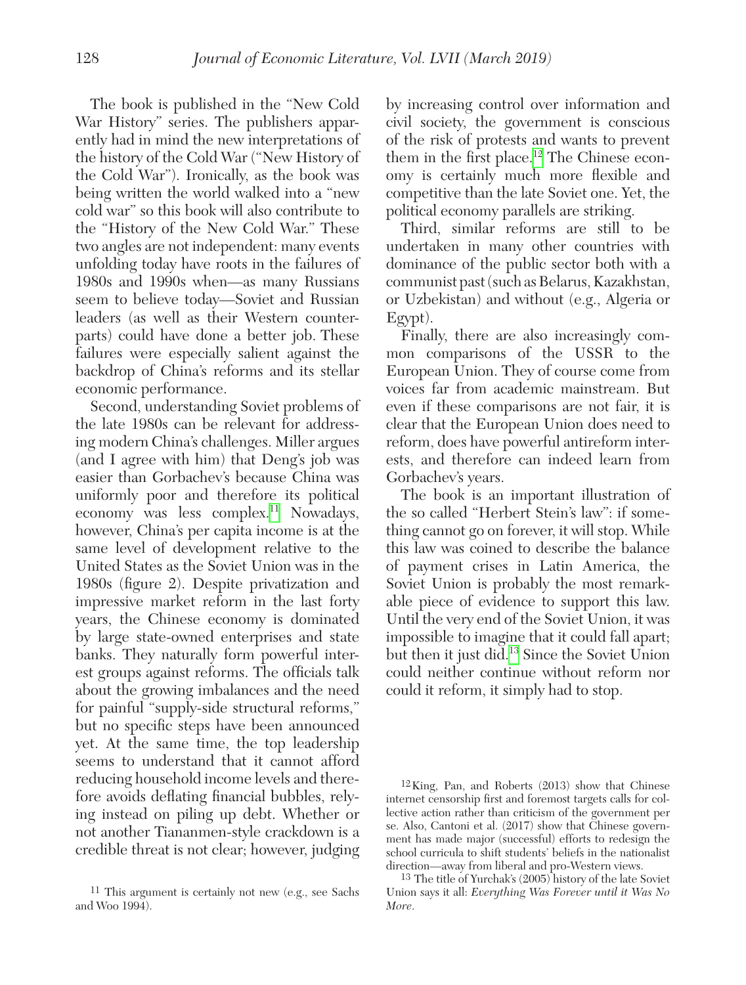The book is published in the "New Cold War History" series. The publishers apparently had in mind the new interpretations of the history of the Cold War ("New History of the Cold War"). Ironically, as the book was being written the world walked into a "new cold war" so this book will also contribute to the "History of the New Cold War." These two angles are not independent: many events unfolding today have roots in the failures of 1980s and 1990s when—as many Russians seem to believe today—Soviet and Russian leaders (as well as their Western counterparts) could have done a better job. These failures were especially salient against the backdrop of China's reforms and its stellar economic performance.

Second, understanding Soviet problems of the late 1980s can be relevant for addressing modern China's challenges. Miller argues (and I agree with him) that Deng's job was easier than Gorbachev's because China was uniformly poor and therefore its political economy was less complex.<sup>11</sup> Nowadays, however, China's per capita income is at the same level of development relative to the United States as the Soviet Union was in the 1980s (figure 2). Despite privatization and impressive market reform in the last forty years, the Chinese economy is dominated by large state-owned enterprises and state banks. They naturally form powerful interest groups against reforms. The officials talk about the growing imbalances and the need for painful "supply-side structural reforms," but no specific steps have been announced yet. At the same time, the top leadership seems to understand that it cannot afford reducing household income levels and therefore avoids deflating financial bubbles, relying instead on piling up debt. Whether or not another Tiananmen-style crackdown is a credible threat is not clear; however, judging

by increasing control over information and civil society, the government is conscious of the risk of protests and wants to prevent them in the first place.<sup>12</sup> The Chinese economy is certainly much more flexible and competitive than the late Soviet one. Yet, the political economy parallels are striking.

Third, similar reforms are still to be undertaken in many other countries with dominance of the public sector both with a communist past (such as Belarus, Kazakhstan, or Uzbekistan) and without (e.g., Algeria or Egypt).

Finally, there are also increasingly common comparisons of the USSR to the European Union. They of course come from voices far from academic mainstream. But even if these comparisons are not fair, it is clear that the European Union does need to reform, does have powerful antireform interests, and therefore can indeed learn from Gorbachev's years.

The book is an important illustration of the so called "Herbert Stein's law": if something cannot go on forever, it will stop. While this law was coined to describe the balance of payment crises in Latin America, the Soviet Union is probably the most remarkable piece of evidence to support this law. Until the very end of the Soviet Union, it was impossible to imagine that it could fall apart; but then it just did.13 Since the Soviet Union could neither continue without reform nor could it reform, it simply had to stop.

12King, Pan, and Roberts (2013) show that Chinese internet censorship first and foremost targets calls for collective action rather than criticism of the government per se. Also, Cantoni et al. (2017) show that Chinese government has made major (successful) efforts to redesign the school curricula to shift students' beliefs in the nationalist direction—away from liberal and pro-Western views.

13 The title of Yurchak's (2005) history of the late Soviet Union says it all: *Everything Was Forever until it Was No More*.

<sup>11</sup> This argument is certainly not new (e.g., see Sachs and Woo 1994).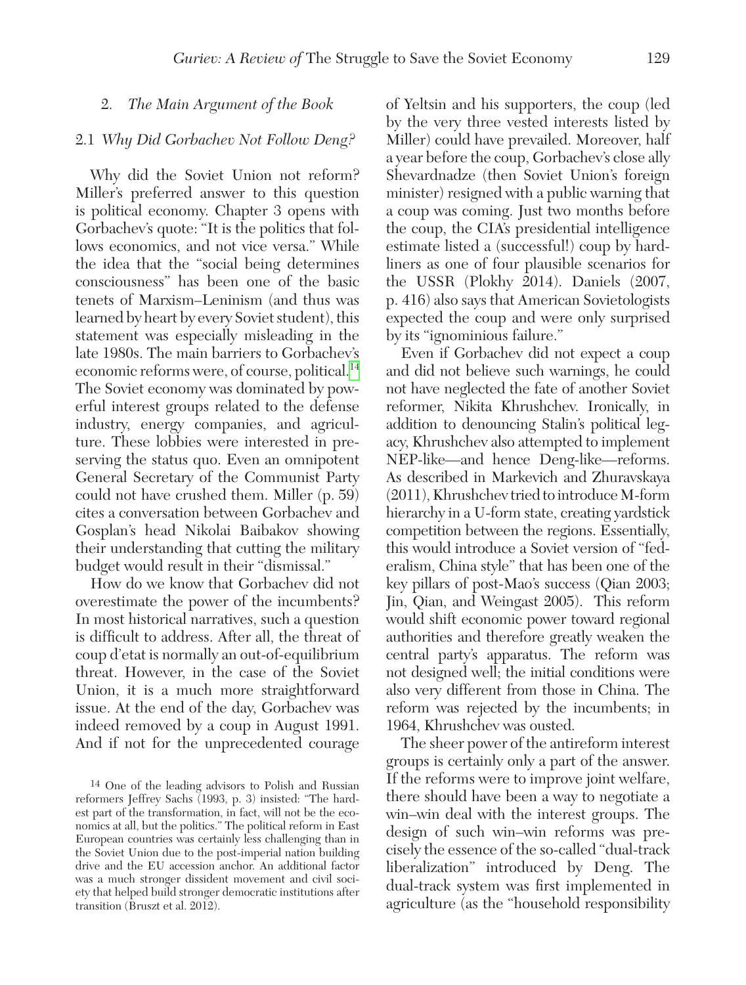#### 2. *The Main Argument of the Book*

#### 2.1 *Why Did Gorbachev Not Follow Deng?*

Why did the Soviet Union not reform? Miller's preferred answer to this question is political economy. Chapter 3 opens with Gorbachev's quote: "It is the politics that follows economics, and not vice versa." While the idea that the "social being determines consciousness" has been one of the basic tenets of Marxism–Leninism (and thus was learned by heart by every Soviet student), this statement was especially misleading in the late 1980s. The main barriers to Gorbachev's economic reforms were, of course, political.14 The Soviet economy was dominated by powerful interest groups related to the defense industry, energy companies, and agriculture. These lobbies were interested in preserving the status quo. Even an omnipotent General Secretary of the Communist Party could not have crushed them. Miller (p. 59) cites a conversation between Gorbachev and Gosplan's head Nikolai Baibakov showing their understanding that cutting the military budget would result in their "dismissal."

How do we know that Gorbachev did not overestimate the power of the incumbents? In most historical narratives, such a question is difficult to address. After all, the threat of coup d'etat is normally an out-of-equilibrium threat. However, in the case of the Soviet Union, it is a much more straightforward issue. At the end of the day, Gorbachev was indeed removed by a coup in August 1991. And if not for the unprecedented courage of Yeltsin and his supporters, the coup (led by the very three vested interests listed by Miller) could have prevailed. Moreover, half a year before the coup, Gorbachev's close ally Shevardnadze (then Soviet Union's foreign minister) resigned with a public warning that a coup was coming. Just two months before the coup, the CIA's presidential intelligence estimate listed a (successful!) coup by hardliners as one of four plausible scenarios for the USSR (Plokhy 2014). Daniels (2007, p. 416) also says that American Sovietologists expected the coup and were only surprised by its "ignominious failure."

Even if Gorbachev did not expect a coup and did not believe such warnings, he could not have neglected the fate of another Soviet reformer, Nikita Khrushchev. Ironically, in addition to denouncing Stalin's political legacy, Khrushchev also attempted to implement NEP-like—and hence Deng-like—reforms. As described in Markevich and Zhuravskaya (2011), Khrushchev tried to introduce M-form hierarchy in a U-form state, creating yardstick competition between the regions. Essentially, this would introduce a Soviet version of "federalism, China style" that has been one of the key pillars of post-Mao's success (Qian 2003; Jin, Qian, and Weingast 2005). This reform would shift economic power toward regional authorities and therefore greatly weaken the central party's apparatus. The reform was not designed well; the initial conditions were also very different from those in China. The reform was rejected by the incumbents; in 1964, Khrushchev was ousted.

The sheer power of the antireform interest groups is certainly only a part of the answer. If the reforms were to improve joint welfare, there should have been a way to negotiate a win–win deal with the interest groups. The design of such win–win reforms was precisely the essence of the so-called "dual-track liberalization" introduced by Deng. The dual-track system was first implemented in agriculture (as the "household responsibility

<sup>14</sup> One of the leading advisors to Polish and Russian reformers Jeffrey Sachs (1993, p. 3) insisted: "The hardest part of the transformation, in fact, will not be the economics at all, but the politics." The political reform in East European countries was certainly less challenging than in the Soviet Union due to the post-imperial nation building drive and the EU accession anchor. An additional factor was a much stronger dissident movement and civil society that helped build stronger democratic institutions after transition (Bruszt et al. 2012).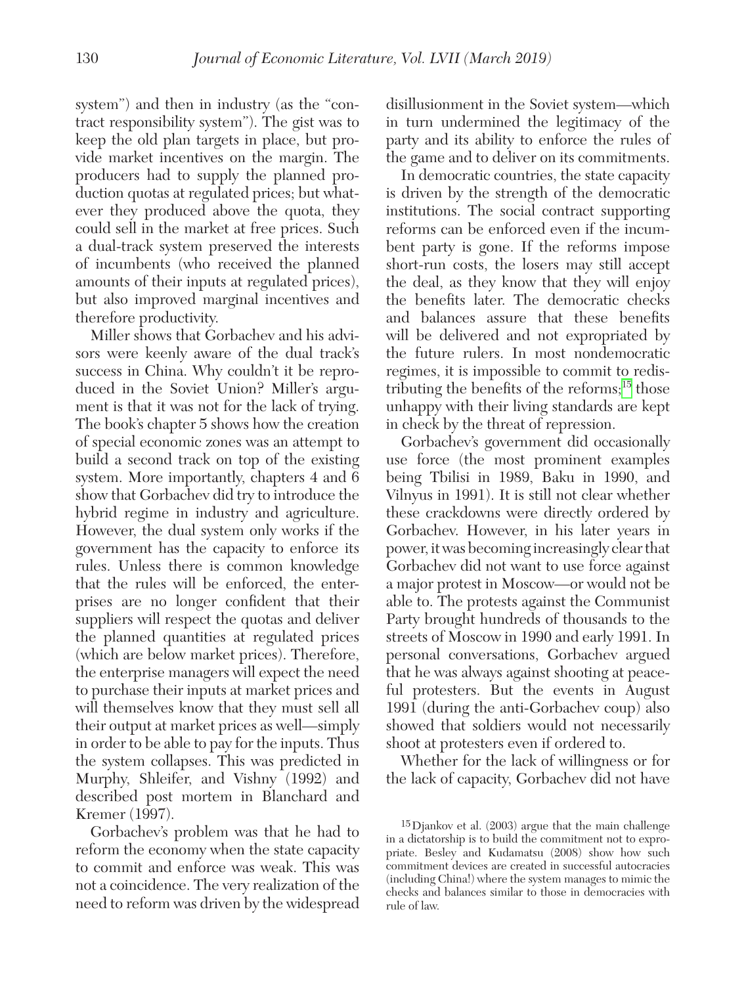system") and then in industry (as the "contract responsibility system"). The gist was to keep the old plan targets in place, but provide market incentives on the margin. The producers had to supply the planned production quotas at regulated prices; but whatever they produced above the quota, they could sell in the market at free prices. Such a dual-track system preserved the interests of incumbents (who received the planned amounts of their inputs at regulated prices), but also improved marginal incentives and therefore productivity.

Miller shows that Gorbachev and his advisors were keenly aware of the dual track's success in China. Why couldn't it be reproduced in the Soviet Union? Miller's argument is that it was not for the lack of trying. The book's chapter 5 shows how the creation of special economic zones was an attempt to build a second track on top of the existing system. More importantly, chapters 4 and 6 show that Gorbachev did try to introduce the hybrid regime in industry and agriculture. However, the dual system only works if the government has the capacity to enforce its rules. Unless there is common knowledge that the rules will be enforced, the enterprises are no longer confident that their suppliers will respect the quotas and deliver the planned quantities at regulated prices (which are below market prices). Therefore, the enterprise managers will expect the need to purchase their inputs at market prices and will themselves know that they must sell all their output at market prices as well—simply in order to be able to pay for the inputs. Thus the system collapses. This was predicted in Murphy, Shleifer, and Vishny (1992) and described post mortem in Blanchard and Kremer (1997).

Gorbachev's problem was that he had to reform the economy when the state capacity to commit and enforce was weak. This was not a coincidence. The very realization of the need to reform was driven by the widespread disillusionment in the Soviet system—which in turn undermined the legitimacy of the party and its ability to enforce the rules of the game and to deliver on its commitments.

In democratic countries, the state capacity is driven by the strength of the democratic institutions. The social contract supporting reforms can be enforced even if the incumbent party is gone. If the reforms impose short-run costs, the losers may still accept the deal, as they know that they will enjoy the benefits later. The democratic checks and balances assure that these benefits will be delivered and not expropriated by the future rulers. In most nondemocratic regimes, it is impossible to commit to redistributing the benefits of the reforms;<sup>15</sup> those unhappy with their living standards are kept in check by the threat of repression.

Gorbachev's government did occasionally use force (the most prominent examples being Tbilisi in 1989, Baku in 1990, and Vilnyus in 1991). It is still not clear whether these crackdowns were directly ordered by Gorbachev. However, in his later years in power, it was becoming increasingly clear that Gorbachev did not want to use force against a major protest in Moscow—or would not be able to. The protests against the Communist Party brought hundreds of thousands to the streets of Moscow in 1990 and early 1991. In personal conversations, Gorbachev argued that he was always against shooting at peaceful protesters. But the events in August 1991 (during the anti-Gorbachev coup) also showed that soldiers would not necessarily shoot at protesters even if ordered to.

Whether for the lack of willingness or for the lack of capacity, Gorbachev did not have

<sup>15</sup>Djankov et al. (2003) argue that the main challenge in a dictatorship is to build the commitment not to expropriate. Besley and Kudamatsu (2008) show how such commitment devices are created in successful autocracies (including China!) where the system manages to mimic the checks and balances similar to those in democracies with rule of law.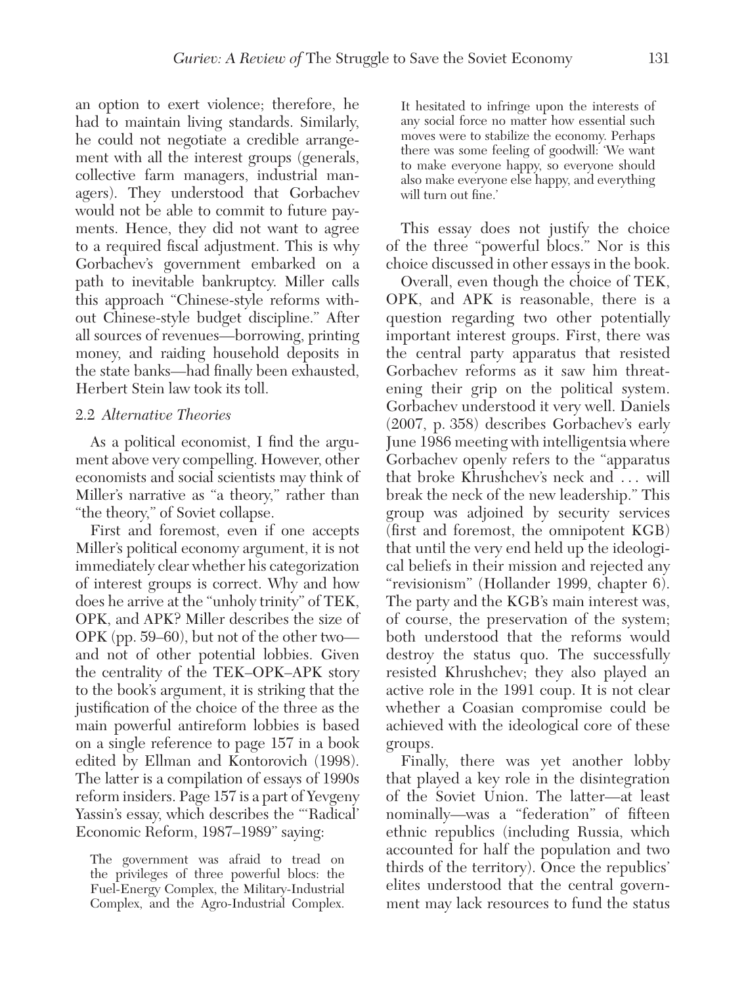an option to exert violence; therefore, he had to maintain living standards. Similarly, he could not negotiate a credible arrangement with all the interest groups (generals, collective farm managers, industrial managers). They understood that Gorbachev would not be able to commit to future payments. Hence, they did not want to agree to a required fiscal adjustment. This is why Gorbachev's government embarked on a path to inevitable bankruptcy. Miller calls this approach "Chinese-style reforms without Chinese-style budget discipline." After all sources of revenues—borrowing, printing money, and raiding household deposits in the state banks—had finally been exhausted, Herbert Stein law took its toll.

#### 2.2 *Alternative Theories*

As a political economist, I find the argument above very compelling. However, other economists and social scientists may think of Miller's narrative as "a theory," rather than "the theory," of Soviet collapse.

First and foremost, even if one accepts Miller's political economy argument, it is not immediately clear whether his categorization of interest groups is correct. Why and how does he arrive at the "unholy trinity" of TEK, OPK, and APK? Miller describes the size of OPK (pp. 59–60), but not of the other two and not of other potential lobbies. Given the centrality of the TEK–OPK–APK story to the book's argument, it is striking that the justification of the choice of the three as the main powerful antireform lobbies is based on a single reference to page 157 in a book edited by Ellman and Kontorovich (1998). The latter is a compilation of essays of 1990s reform insiders. Page 157 is a part of Yevgeny Yassin's essay, which describes the "'Radical' Economic Reform, 1987–1989" saying:

The government was afraid to tread on the privileges of three powerful blocs: the Fuel-Energy Complex, the Military-Industrial Complex, and the Agro-Industrial Complex. It hesitated to infringe upon the interests of any social force no matter how essential such moves were to stabilize the economy. Perhaps there was some feeling of goodwill: 'We want to make everyone happy, so everyone should also make everyone else happy, and everything will turn out fine.'

This essay does not justify the choice of the three "powerful blocs." Nor is this choice discussed in other essays in the book.

Overall, even though the choice of TEK, OPK, and APK is reasonable, there is a question regarding two other potentially important interest groups. First, there was the central party apparatus that resisted Gorbachev reforms as it saw him threatening their grip on the political system. Gorbachev understood it very well. Daniels (2007, p. 358) describes Gorbachev's early June 1986 meeting with intelligentsia where Gorbachev openly refers to the "apparatus that broke Khrushchev's neck and … will break the neck of the new leadership." This group was adjoined by security services (first and foremost, the omnipotent KGB) that until the very end held up the ideological beliefs in their mission and rejected any "revisionism" (Hollander 1999, chapter 6). The party and the KGB's main interest was, of course, the preservation of the system; both understood that the reforms would destroy the status quo. The successfully resisted Khrushchev; they also played an active role in the 1991 coup. It is not clear whether a Coasian compromise could be achieved with the ideological core of these groups.

Finally, there was yet another lobby that played a key role in the disintegration of the Soviet Union. The latter—at least nominally—was a "federation" of fifteen ethnic republics (including Russia, which accounted for half the population and two thirds of the territory). Once the republics' elites understood that the central government may lack resources to fund the status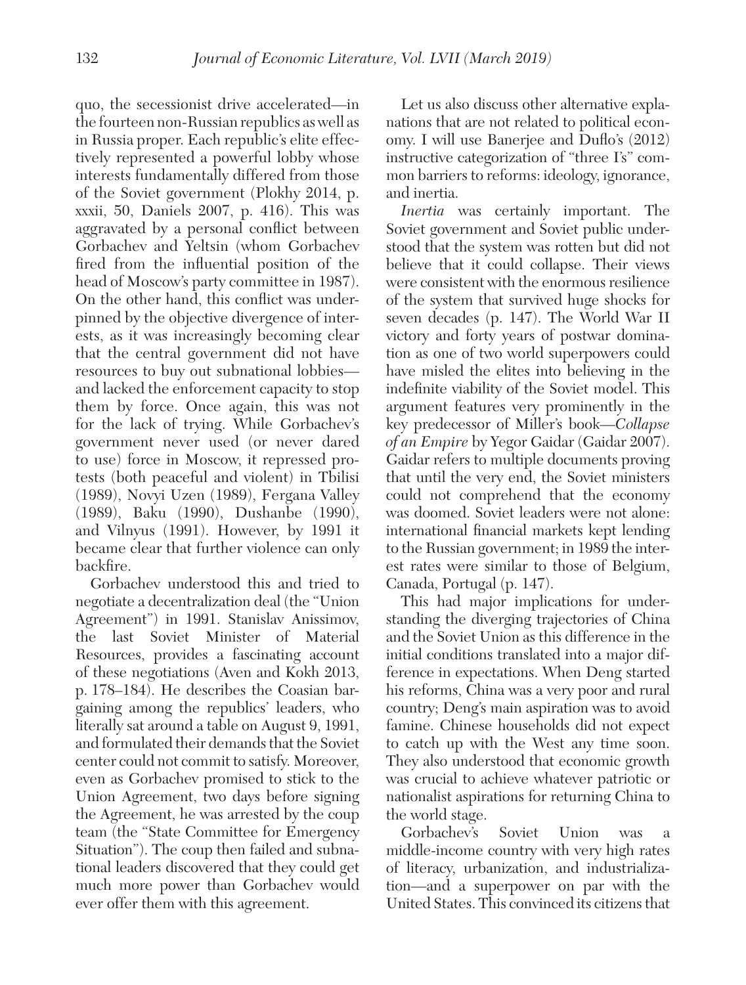quo, the secessionist drive accelerated—in the fourteen non-Russian republics as well as in Russia proper. Each republic's elite effectively represented a powerful lobby whose interests fundamentally differed from those of the Soviet government (Plokhy 2014, p. xxxii, 50, Daniels 2007, p. 416). This was aggravated by a personal conflict between Gorbachev and Yeltsin (whom Gorbachev fired from the influential position of the head of Moscow's party committee in 1987). On the other hand, this conflict was underpinned by the objective divergence of interests, as it was increasingly becoming clear that the central government did not have resources to buy out subnational lobbies and lacked the enforcement capacity to stop them by force. Once again, this was not for the lack of trying. While Gorbachev's government never used (or never dared to use) force in Moscow, it repressed protests (both peaceful and violent) in Tbilisi (1989), Novyi Uzen (1989), Fergana Valley (1989), Baku (1990), Dushanbe (1990), and Vilnyus (1991). However, by 1991 it became clear that further violence can only backfire.

Gorbachev understood this and tried to negotiate a decentralization deal (the "Union Agreement") in 1991. Stanislav Anissimov, the last Soviet Minister of Material Resources, provides a fascinating account of these negotiations (Aven and Kokh 2013, p. 178–184). He describes the Coasian bargaining among the republics' leaders, who literally sat around a table on August 9, 1991, and formulated their demands that the Soviet center could not commit to satisfy. Moreover, even as Gorbachev promised to stick to the Union Agreement, two days before signing the Agreement, he was arrested by the coup team (the "State Committee for Emergency Situation"). The coup then failed and subnational leaders discovered that they could get much more power than Gorbachev would ever offer them with this agreement.

Let us also discuss other alternative explanations that are not related to political economy. I will use Banerjee and Duflo's (2012) instructive categorization of "three I's" common barriers to reforms: ideology, ignorance, and inertia.

*Inertia* was certainly important. The Soviet government and Soviet public understood that the system was rotten but did not believe that it could collapse. Their views were consistent with the enormous resilience of the system that survived huge shocks for seven decades (p. 147). The World War II victory and forty years of postwar domination as one of two world superpowers could have misled the elites into believing in the indefinite viability of the Soviet model. This argument features very prominently in the key predecessor of Miller's book—*Collapse of an Empire* by Yegor Gaidar (Gaidar 2007). Gaidar refers to multiple documents proving that until the very end, the Soviet ministers could not comprehend that the economy was doomed. Soviet leaders were not alone: international financial markets kept lending to the Russian government; in 1989 the interest rates were similar to those of Belgium, Canada, Portugal (p. 147).

This had major implications for understanding the diverging trajectories of China and the Soviet Union as this difference in the initial conditions translated into a major difference in expectations. When Deng started his reforms, China was a very poor and rural country; Deng's main aspiration was to avoid famine. Chinese households did not expect to catch up with the West any time soon. They also understood that economic growth was crucial to achieve whatever patriotic or nationalist aspirations for returning China to the world stage.

Gorbachev's Soviet Union was middle-income country with very high rates of literacy, urbanization, and industrialization—and a superpower on par with the United States. This convinced its citizens that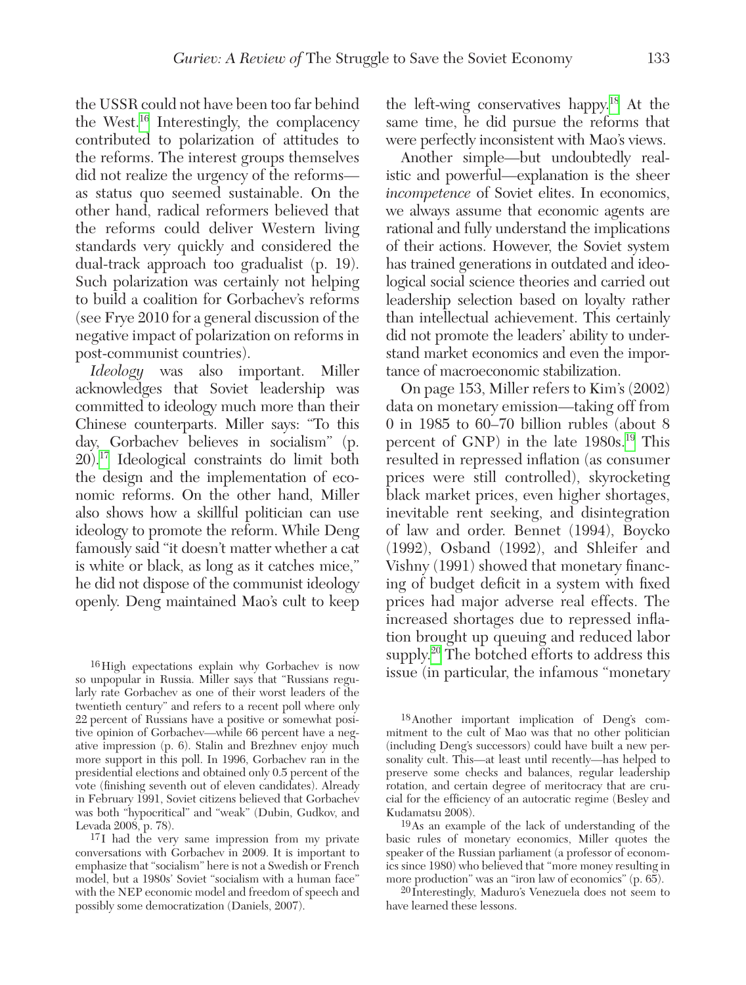the USSR could not have been too far behind the West.16 Interestingly, the complacency contributed to polarization of attitudes to the reforms. The interest groups themselves did not realize the urgency of the reforms as status quo seemed sustainable. On the other hand, radical reformers believed that the reforms could deliver Western living standards very quickly and considered the dual-track approach too gradualist (p. 19). Such polarization was certainly not helping to build a coalition for Gorbachev's reforms (see Frye 2010 for a general discussion of the negative impact of polarization on reforms in post-communist countries).

*Ideology* was also important. Miller acknowledges that Soviet leadership was committed to ideology much more than their Chinese counterparts. Miller says: "To this day, Gorbachev believes in socialism" (p. 20).17 Ideological constraints do limit both the design and the implementation of economic reforms. On the other hand, Miller also shows how a skillful politician can use ideology to promote the reform. While Deng famously said "it doesn't matter whether a cat is white or black, as long as it catches mice," he did not dispose of the communist ideology openly. Deng maintained Mao's cult to keep

16High expectations explain why Gorbachev is now so unpopular in Russia. Miller says that "Russians regularly rate Gorbachev as one of their worst leaders of the twentieth century" and refers to a recent poll where only 22 percent of Russians have a positive or somewhat positive opinion of Gorbachev—while 66 percent have a negative impression (p. 6). Stalin and Brezhnev enjoy much more support in this poll. In 1996, Gorbachev ran in the presidential elections and obtained only 0.5 percent of the vote (finishing seventh out of eleven candidates). Already in February 1991, Soviet citizens believed that Gorbachev was both "hypocritical" and "weak'' (Dubin, Gudkov, and Levada 2008, p. 78).

17I had the very same impression from my private conversations with Gorbachev in 2009. It is important to emphasize that "socialism" here is not a Swedish or French model, but a 1980s' Soviet "socialism with a human face" with the NEP economic model and freedom of speech and possibly some democratization (Daniels, 2007).

the left-wing conservatives happy.18 At the same time, he did pursue the reforms that were perfectly inconsistent with Mao's views.

Another simple—but undoubtedly realistic and powerful—explanation is the sheer *incompetence* of Soviet elites. In economics, we always assume that economic agents are rational and fully understand the implications of their actions. However, the Soviet system has trained generations in outdated and ideological social science theories and carried out leadership selection based on loyalty rather than intellectual achievement. This certainly did not promote the leaders' ability to understand market economics and even the importance of macroeconomic stabilization.

On page 153, Miller refers to Kim's (2002) data on monetary emission—taking off from 0 in 1985 to 60–70 billion rubles (about 8 percent of GNP) in the late  $1980s$ .<sup>19</sup> This resulted in repressed inflation (as consumer prices were still controlled), skyrocketing black market prices, even higher shortages, inevitable rent seeking, and disintegration of law and order. Bennet (1994), Boycko (1992), Osband (1992), and Shleifer and Vishny (1991) showed that monetary financing of budget deficit in a system with fixed prices had major adverse real effects. The increased shortages due to repressed inflation brought up queuing and reduced labor supply.<sup>20</sup> The botched efforts to address this issue (in particular, the infamous "monetary

20Interestingly, Maduro's Venezuela does not seem to have learned these lessons.

<sup>18</sup>Another important implication of Deng's commitment to the cult of Mao was that no other politician (including Deng's successors) could have built a new personality cult. This—at least until recently—has helped to preserve some checks and balances, regular leadership rotation, and certain degree of meritocracy that are crucial for the efficiency of an autocratic regime (Besley and Kudamatsu 2008).

<sup>19</sup>As an example of the lack of understanding of the basic rules of monetary economics, Miller quotes the speaker of the Russian parliament (a professor of economics since 1980) who believed that "more money resulting in more production" was an "iron law of economics" (p. 65).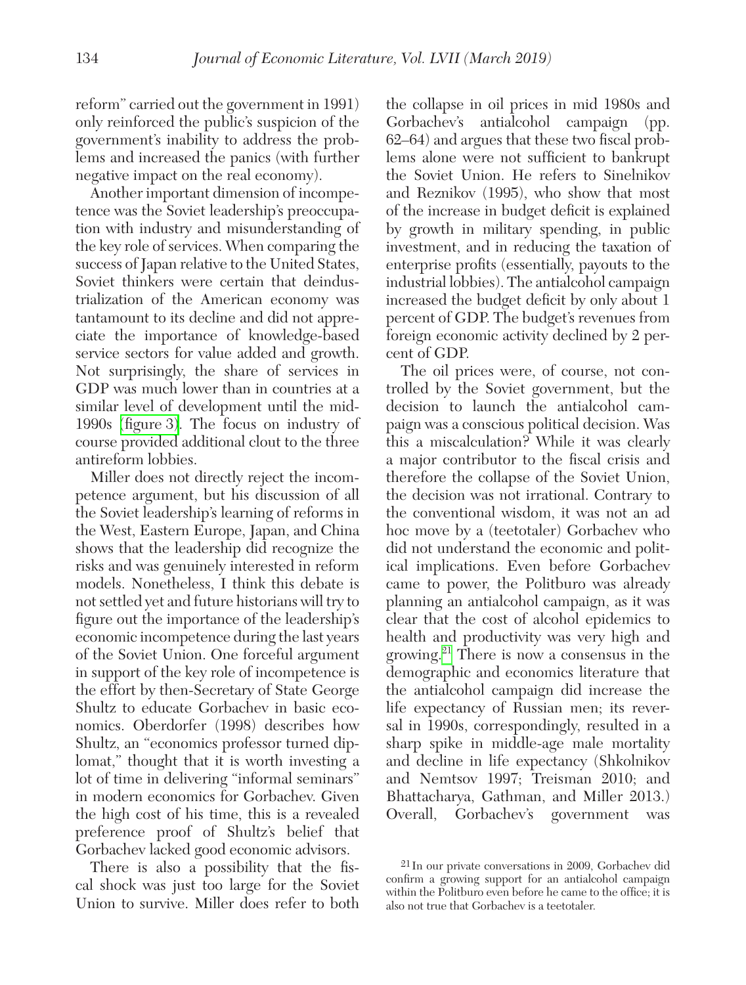reform" carried out the government in 1991) only reinforced the public's suspicion of the government's inability to address the problems and increased the panics (with further negative impact on the real economy).

Another important dimension of incompetence was the Soviet leadership's preoccupation with industry and misunderstanding of the key role of services. When comparing the success of Japan relative to the United States, Soviet thinkers were certain that deindustrialization of the American economy was tantamount to its decline and did not appreciate the importance of knowledge-based service sectors for value added and growth. Not surprisingly, the share of services in GDP was much lower than in countries at a similar level of development until the mid-1990s [\(figure](#page-16-0) 3). The focus on industry of course provided additional clout to the three antireform lobbies.

Miller does not directly reject the incompetence argument, but his discussion of all the Soviet leadership's learning of reforms in the West, Eastern Europe, Japan, and China shows that the leadership did recognize the risks and was genuinely interested in reform models. Nonetheless, I think this debate is not settled yet and future historians will try to figure out the importance of the leadership's economic incompetence during the last years of the Soviet Union. One forceful argument in support of the key role of incompetence is the effort by then-Secretary of State George Shultz to educate Gorbachev in basic economics. Oberdorfer (1998) describes how Shultz, an "economics professor turned diplomat," thought that it is worth investing a lot of time in delivering "informal seminars" in modern economics for Gorbachev. Given the high cost of his time, this is a revealed preference proof of Shultz's belief that Gorbachev lacked good economic advisors.

There is also a possibility that the fiscal shock was just too large for the Soviet Union to survive. Miller does refer to both

the collapse in oil prices in mid 1980s and Gorbachev's antialcohol campaign (pp. 62–64) and argues that these two fiscal problems alone were not sufficient to bankrupt the Soviet Union. He refers to Sinelnikov and Reznikov (1995), who show that most of the increase in budget deficit is explained by growth in military spending, in public investment, and in reducing the taxation of enterprise profits (essentially, payouts to the industrial lobbies). The antialcohol campaign increased the budget deficit by only about 1 percent of GDP. The budget's revenues from foreign economic activity declined by 2 percent of GDP.

The oil prices were, of course, not controlled by the Soviet government, but the decision to launch the antialcohol campaign was a conscious political decision. Was this a miscalculation? While it was clearly a major contributor to the fiscal crisis and therefore the collapse of the Soviet Union, the decision was not irrational. Contrary to the conventional wisdom, it was not an ad hoc move by a (teetotaler) Gorbachev who did not understand the economic and political implications. Even before Gorbachev came to power, the Politburo was already planning an antialcohol campaign, as it was clear that the cost of alcohol epidemics to health and productivity was very high and growing.<sup>21</sup> There is now a consensus in the demographic and economics literature that the antialcohol campaign did increase the life expectancy of Russian men; its reversal in 1990s, correspondingly, resulted in a sharp spike in middle-age male mortality and decline in life expectancy (Shkolnikov and Nemtsov 1997; Treisman 2010; and Bhattacharya, Gathman, and Miller 2013.) Overall, Gorbachev's government was

<sup>21</sup>In our private conversations in 2009, Gorbachev did confirm a growing support for an antialcohol campaign within the Politburo even before he came to the office; it is also not true that Gorbachev is a teetotaler.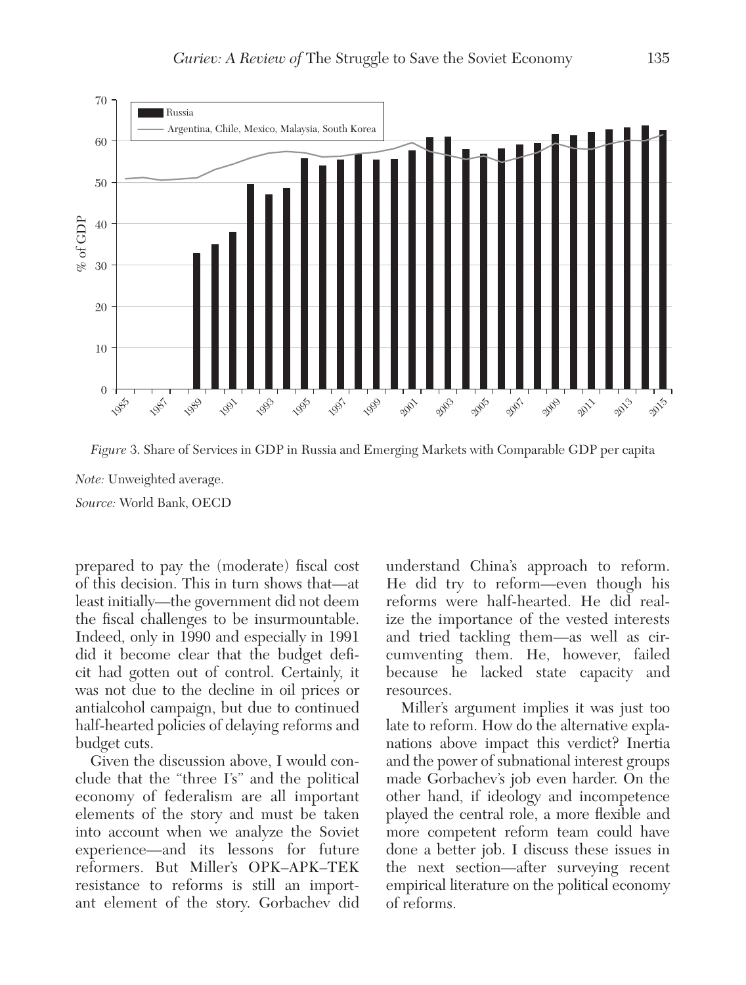<span id="page-16-0"></span>

*Figure* 3. Share of Services in GDP in Russia and Emerging Markets with Comparable GDP per capita

*Note:* Unweighted average. *Source:* World Bank, OECD

prepared to pay the (moderate) fiscal cost of this decision. This in turn shows that—at least initially—the government did not deem the fiscal challenges to be insurmountable. Indeed, only in 1990 and especially in 1991 did it become clear that the budget deficit had gotten out of control. Certainly, it was not due to the decline in oil prices or antialcohol campaign, but due to continued half-hearted policies of delaying reforms and budget cuts.

Given the discussion above, I would conclude that the "three I's" and the political economy of federalism are all important elements of the story and must be taken into account when we analyze the Soviet experience—and its lessons for future reformers. But Miller's OPK–APK–TEK resistance to reforms is still an important element of the story. Gorbachev did

understand China's approach to reform. He did try to reform—even though his reforms were half-hearted. He did realize the importance of the vested interests and tried tackling them—as well as circumventing them. He, however, failed because he lacked state capacity and resources.

Miller's argument implies it was just too late to reform. How do the alternative explanations above impact this verdict? Inertia and the power of subnational interest groups made Gorbachev's job even harder. On the other hand, if ideology and incompetence played the central role, a more flexible and more competent reform team could have done a better job. I discuss these issues in the next section—after surveying recent empirical literature on the political economy of reforms.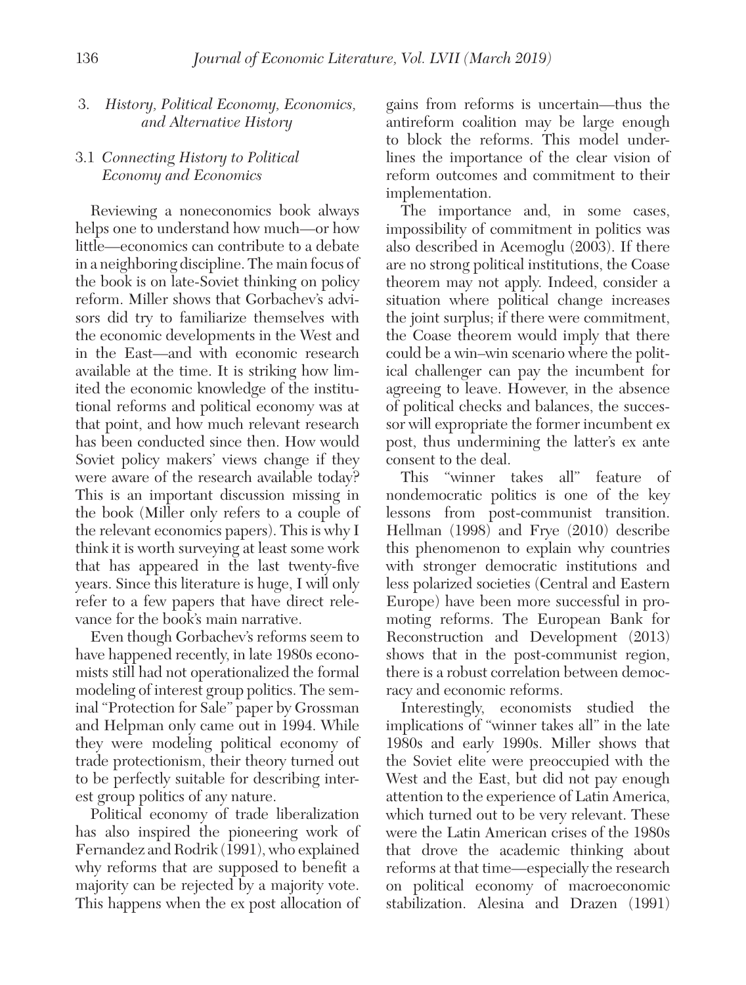#### 3. *History, Political Economy, Economics, and Alternative History*

#### 3.1 *Connecting History to Political Economy and Economics*

Reviewing a noneconomics book always helps one to understand how much—or how little—economics can contribute to a debate in a neighboring discipline. The main focus of the book is on late-Soviet thinking on policy reform. Miller shows that Gorbachev's advisors did try to familiarize themselves with the economic developments in the West and in the East—and with economic research available at the time. It is striking how limited the economic knowledge of the institutional reforms and political economy was at that point, and how much relevant research has been conducted since then. How would Soviet policy makers' views change if they were aware of the research available today? This is an important discussion missing in the book (Miller only refers to a couple of the relevant economics papers). This is why I think it is worth surveying at least some work that has appeared in the last twenty-five years. Since this literature is huge, I will only refer to a few papers that have direct relevance for the book's main narrative.

Even though Gorbachev's reforms seem to have happened recently, in late 1980s economists still had not operationalized the formal modeling of interest group politics. The seminal "Protection for Sale" paper by Grossman and Helpman only came out in 1994. While they were modeling political economy of trade protectionism, their theory turned out to be perfectly suitable for describing interest group politics of any nature.

Political economy of trade liberalization has also inspired the pioneering work of Fernandez and Rodrik (1991), who explained why reforms that are supposed to benefit a majority can be rejected by a majority vote. This happens when the ex post allocation of gains from reforms is uncertain—thus the antireform coalition may be large enough to block the reforms. This model underlines the importance of the clear vision of reform outcomes and commitment to their implementation.

The importance and, in some cases, impossibility of commitment in politics was also described in Acemoglu (2003). If there are no strong political institutions, the Coase theorem may not apply. Indeed, consider a situation where political change increases the joint surplus; if there were commitment, the Coase theorem would imply that there could be a win–win scenario where the political challenger can pay the incumbent for agreeing to leave. However, in the absence of political checks and balances, the successor will expropriate the former incumbent ex post, thus undermining the latter's ex ante consent to the deal.

This "winner takes all" feature of nondemocratic politics is one of the key lessons from post-communist transition. Hellman (1998) and Frye (2010) describe this phenomenon to explain why countries with stronger democratic institutions and less polarized societies (Central and Eastern Europe) have been more successful in promoting reforms. The European Bank for Reconstruction and Development (2013) shows that in the post-communist region, there is a robust correlation between democracy and economic reforms.

Interestingly, economists studied the implications of "winner takes all" in the late 1980s and early 1990s. Miller shows that the Soviet elite were preoccupied with the West and the East, but did not pay enough attention to the experience of Latin America, which turned out to be very relevant. These were the Latin American crises of the 1980s that drove the academic thinking about reforms at that time—especially the research on political economy of macroeconomic stabilization. Alesina and Drazen (1991)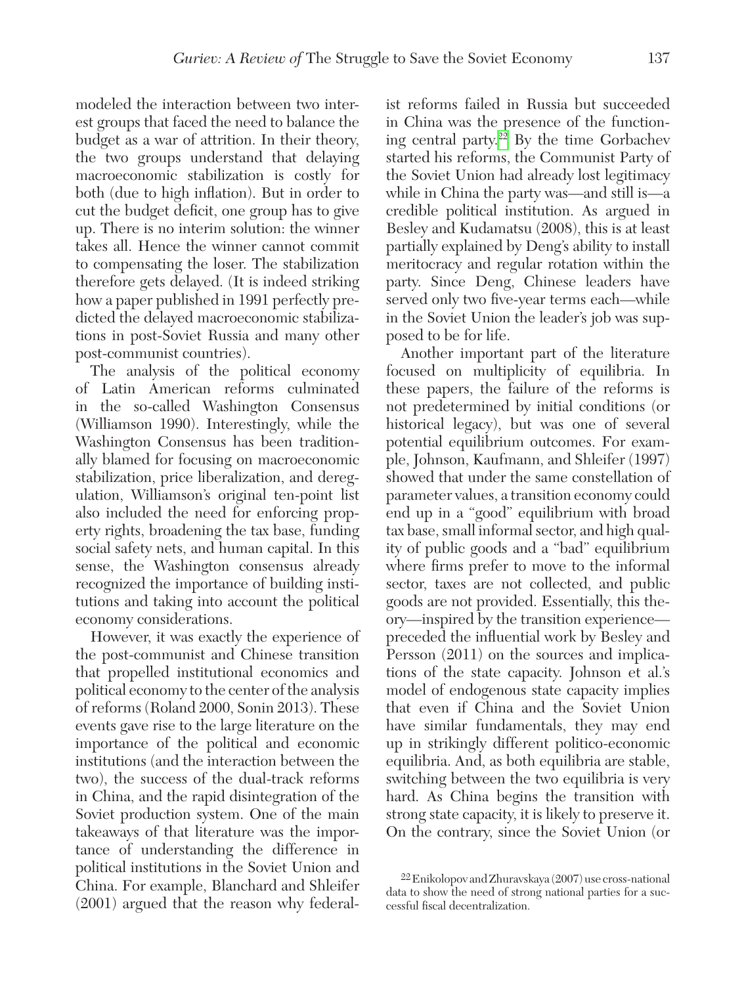modeled the interaction between two interest groups that faced the need to balance the budget as a war of attrition. In their theory, the two groups understand that delaying macroeconomic stabilization is costly for both (due to high inflation). But in order to cut the budget deficit, one group has to give up. There is no interim solution: the winner takes all. Hence the winner cannot commit to compensating the loser. The stabilization therefore gets delayed. (It is indeed striking how a paper published in 1991 perfectly predicted the delayed macroeconomic stabilizations in post-Soviet Russia and many other post-communist countries).

The analysis of the political economy of Latin American reforms culminated in the so-called Washington Consensus (Williamson 1990). Interestingly, while the Washington Consensus has been traditionally blamed for focusing on macroeconomic stabilization, price liberalization, and deregulation, Williamson's original ten-point list also included the need for enforcing property rights, broadening the tax base, funding social safety nets, and human capital. In this sense, the Washington consensus already recognized the importance of building institutions and taking into account the political economy considerations.

However, it was exactly the experience of the post-communist and Chinese transition that propelled institutional economics and political economy to the center of the analysis of reforms (Roland 2000, Sonin 2013). These events gave rise to the large literature on the importance of the political and economic institutions (and the interaction between the two), the success of the dual-track reforms in China, and the rapid disintegration of the Soviet production system. One of the main takeaways of that literature was the importance of understanding the difference in political institutions in the Soviet Union and China. For example, Blanchard and Shleifer (2001) argued that the reason why federalist reforms failed in Russia but succeeded in China was the presence of the functioning central party. $^{22}$  By the time Gorbachev started his reforms, the Communist Party of the Soviet Union had already lost legitimacy while in China the party was—and still is—a credible political institution. As argued in Besley and Kudamatsu (2008), this is at least partially explained by Deng's ability to install meritocracy and regular rotation within the party. Since Deng, Chinese leaders have served only two five-year terms each—while in the Soviet Union the leader's job was supposed to be for life.

Another important part of the literature focused on multiplicity of equilibria. In these papers, the failure of the reforms is not predetermined by initial conditions (or historical legacy), but was one of several potential equilibrium outcomes. For example, Johnson, Kaufmann, and Shleifer (1997) showed that under the same constellation of parameter values, a transition economy could end up in a "good" equilibrium with broad tax base, small informal sector, and high quality of public goods and a "bad" equilibrium where firms prefer to move to the informal sector, taxes are not collected, and public goods are not provided. Essentially, this theory—inspired by the transition experience preceded the influential work by Besley and Persson (2011) on the sources and implications of the state capacity. Johnson et al.'s model of endogenous state capacity implies that even if China and the Soviet Union have similar fundamentals, they may end up in strikingly different politico-economic equilibria. And, as both equilibria are stable, switching between the two equilibria is very hard. As China begins the transition with strong state capacity, it is likely to preserve it. On the contrary, since the Soviet Union (or

<sup>22</sup>Enikolopov and Zhuravskaya (2007) use cross-national data to show the need of strong national parties for a successful fiscal decentralization.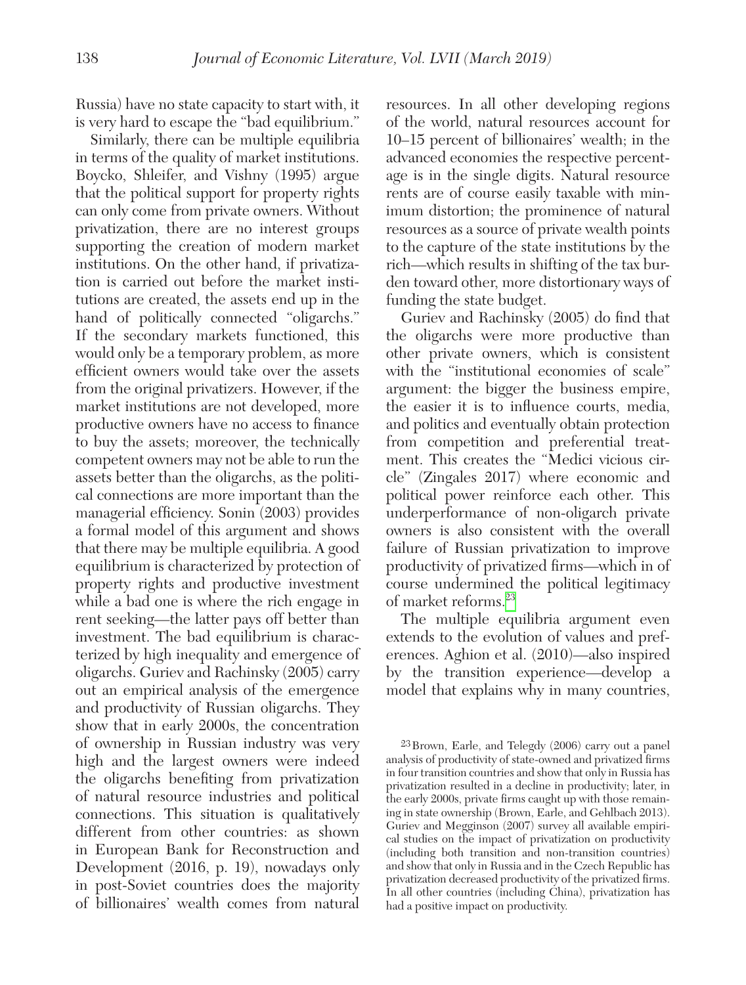Russia) have no state capacity to start with, it is very hard to escape the "bad equilibrium."

Similarly, there can be multiple equilibria in terms of the quality of market institutions. Boycko, Shleifer, and Vishny (1995) argue that the political support for property rights can only come from private owners. Without privatization, there are no interest groups supporting the creation of modern market institutions. On the other hand, if privatization is carried out before the market institutions are created, the assets end up in the hand of politically connected "oligarchs." If the secondary markets functioned, this would only be a temporary problem, as more efficient owners would take over the assets from the original privatizers. However, if the market institutions are not developed, more productive owners have no access to finance to buy the assets; moreover, the technically competent owners may not be able to run the assets better than the oligarchs, as the political connections are more important than the managerial efficiency. Sonin (2003) provides a formal model of this argument and shows that there may be multiple equilibria. A good equilibrium is characterized by protection of property rights and productive investment while a bad one is where the rich engage in rent seeking—the latter pays off better than investment. The bad equilibrium is characterized by high inequality and emergence of oligarchs. Guriev and Rachinsky (2005) carry out an empirical analysis of the emergence and productivity of Russian oligarchs. They show that in early 2000s, the concentration of ownership in Russian industry was very high and the largest owners were indeed the oligarchs benefiting from privatization of natural resource industries and political connections. This situation is qualitatively different from other countries: as shown in European Bank for Reconstruction and Development (2016, p. 19), nowadays only in post-Soviet countries does the majority of billionaires' wealth comes from natural

resources. In all other developing regions of the world, natural resources account for 10–15 percent of billionaires' wealth; in the advanced economies the respective percentage is in the single digits. Natural resource rents are of course easily taxable with minimum distortion; the prominence of natural resources as a source of private wealth points to the capture of the state institutions by the rich—which results in shifting of the tax burden toward other, more distortionary ways of funding the state budget.

Guriev and Rachinsky (2005) do find that the oligarchs were more productive than other private owners, which is consistent with the "institutional economies of scale" argument: the bigger the business empire, the easier it is to influence courts, media, and politics and eventually obtain protection from competition and preferential treatment. This creates the "Medici vicious circle" (Zingales 2017) where economic and political power reinforce each other. This underperformance of non-oligarch private owners is also consistent with the overall failure of Russian privatization to improve productivity of privatized firms—which in of course undermined the political legitimacy of market reforms.23

The multiple equilibria argument even extends to the evolution of values and preferences. Aghion et al. (2010)—also inspired by the transition experience—develop a model that explains why in many countries,

<sup>23</sup>Brown, Earle, and Telegdy (2006) carry out a panel analysis of productivity of state-owned and privatized firms in four transition countries and show that only in Russia has privatization resulted in a decline in productivity; later, in the early 2000s, private firms caught up with those remaining in state ownership (Brown, Earle, and Gehlbach 2013). Guriev and Megginson (2007) survey all available empirical studies on the impact of privatization on productivity (including both transition and non-transition countries) and show that only in Russia and in the Czech Republic has privatization decreased productivity of the privatized firms. In all other countries (including China), privatization has had a positive impact on productivity.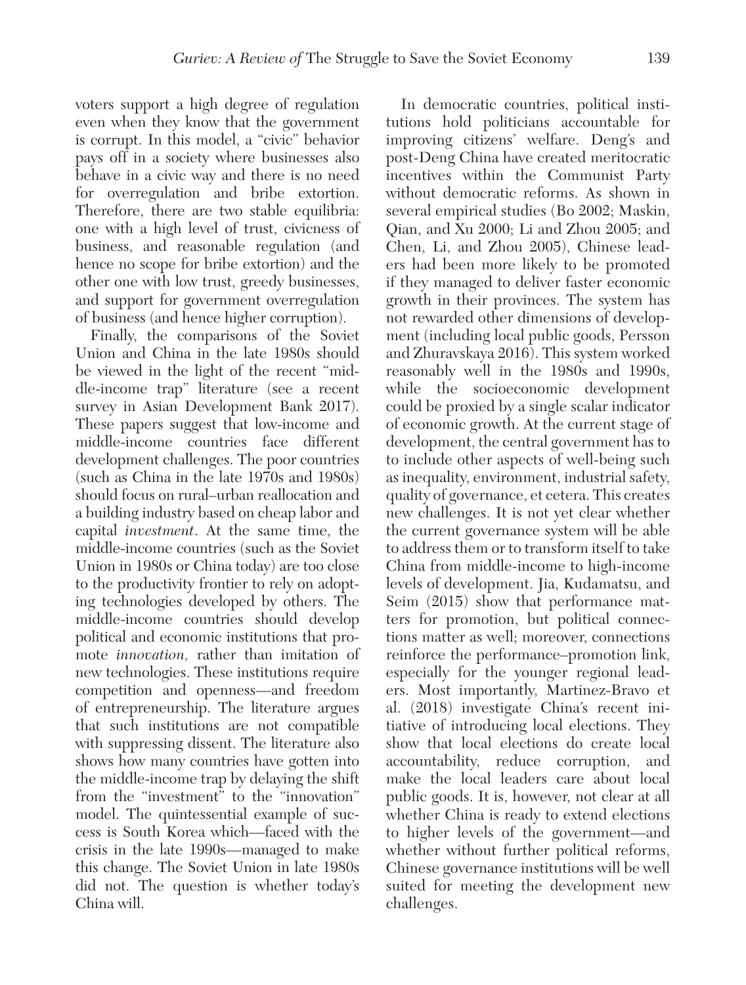voters support a high degree of regulation even when they know that the government is corrupt. In this model, a "civic" behavior pays off in a society where businesses also behave in a civic way and there is no need for overregulation and bribe extortion. Therefore, there are two stable equilibria: one with a high level of trust, civicness of business, and reasonable regulation (and hence no scope for bribe extortion) and the other one with low trust, greedy businesses, and support for government overregulation of business (and hence higher corruption).

Finally, the comparisons of the Soviet Union and China in the late 1980s should be viewed in the light of the recent "middle-income trap" literature (see a recent survey in Asian Development Bank 2017). These papers suggest that low-income and middle-income countries face different development challenges. The poor countries (such as China in the late 1970s and 1980s) should focus on rural–urban reallocation and a building industry based on cheap labor and capital *investment*. At the same time, the middle-income countries (such as the Soviet Union in 1980s or China today) are too close to the productivity frontier to rely on adopting technologies developed by others. The middle-income countries should develop political and economic institutions that promote *innovation,* rather than imitation of new technologies. These institutions require competition and openness—and freedom of entrepreneurship. The literature argues that such institutions are not compatible with suppressing dissent. The literature also shows how many countries have gotten into the middle-income trap by delaying the shift from the "investment" to the "innovation" model. The quintessential example of success is South Korea which—faced with the crisis in the late 1990s—managed to make this change. The Soviet Union in late 1980s did not. The question is whether today's China will.

In democratic countries, political institutions hold politicians accountable for improving citizens' welfare. Deng's and post-Deng China have created meritocratic incentives within the Communist Party without democratic reforms. As shown in several empirical studies (Bo 2002; Maskin, Qian, and Xu 2000; Li and Zhou 2005; and Chen, Li, and Zhou 2005), Chinese leaders had been more likely to be promoted if they managed to deliver faster economic growth in their provinces. The system has not rewarded other dimensions of development (including local public goods, Persson and Zhuravskaya 2016). This system worked reasonably well in the 1980s and 1990s, while the socioeconomic development could be proxied by a single scalar indicator of economic growth. At the current stage of development, the central government has to to include other aspects of well-being such as inequality, environment, industrial safety, quality of governance, et cetera. This creates new challenges. It is not yet clear whether the current governance system will be able to address them or to transform itself to take China from middle-income to high-income levels of development. Jia, Kudamatsu, and Seim (2015) show that performance matters for promotion, but political connections matter as well; moreover, connections reinforce the performance–promotion link, especially for the younger regional leaders. Most importantly, Martinez-Bravo et al. (2018) investigate China's recent initiative of introducing local elections. They show that local elections do create local accountability, reduce corruption, and make the local leaders care about local public goods. It is, however, not clear at all whether China is ready to extend elections to higher levels of the government—and whether without further political reforms, Chinese governance institutions will be well suited for meeting the development new challenges.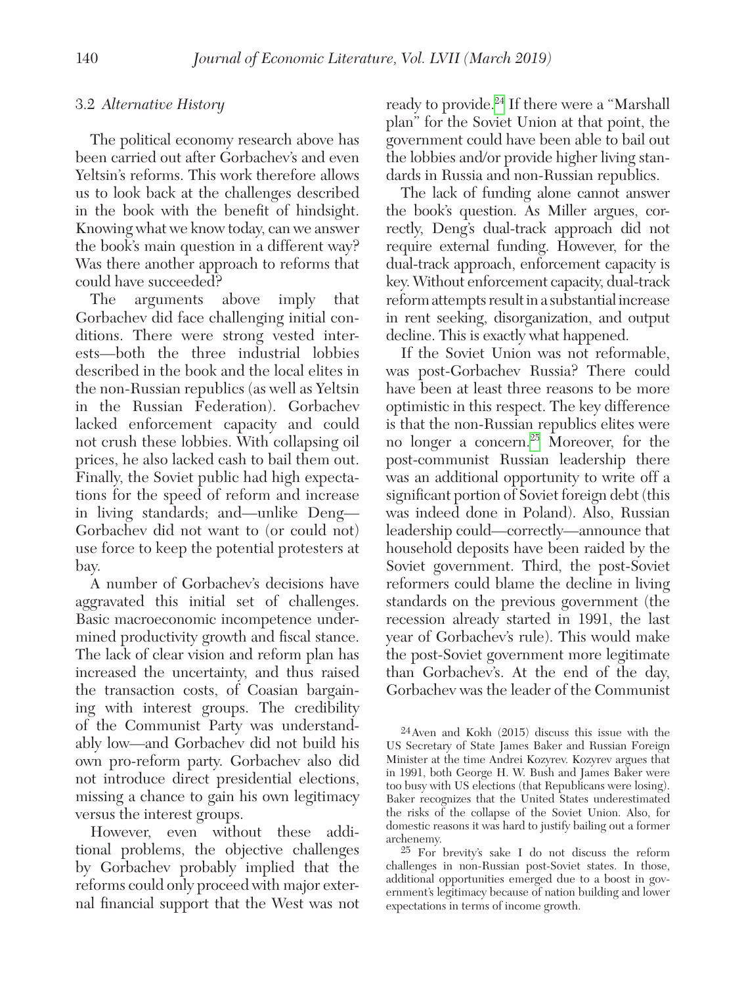#### 3.2 *Alternative History*

The political economy research above has been carried out after Gorbachev's and even Yeltsin's reforms. This work therefore allows us to look back at the challenges described in the book with the benefit of hindsight. Knowing what we know today, can we answer the book's main question in a different way? Was there another approach to reforms that could have succeeded?

The arguments above imply that Gorbachev did face challenging initial conditions. There were strong vested interests—both the three industrial lobbies described in the book and the local elites in the non-Russian republics (as well as Yeltsin in the Russian Federation). Gorbachev lacked enforcement capacity and could not crush these lobbies. With collapsing oil prices, he also lacked cash to bail them out. Finally, the Soviet public had high expectations for the speed of reform and increase in living standards; and—unlike Deng— Gorbachev did not want to (or could not) use force to keep the potential protesters at bay.

A number of Gorbachev's decisions have aggravated this initial set of challenges. Basic macroeconomic incompetence undermined productivity growth and fiscal stance. The lack of clear vision and reform plan has increased the uncertainty, and thus raised the transaction costs, of Coasian bargaining with interest groups. The credibility of the Communist Party was understandably low—and Gorbachev did not build his own pro-reform party. Gorbachev also did not introduce direct presidential elections, missing a chance to gain his own legitimacy versus the interest groups.

However, even without these additional problems, the objective challenges by Gorbachev probably implied that the reforms could only proceed with major external financial support that the West was not

ready to provide.<sup>24</sup> If there were a "Marshall" plan" for the Soviet Union at that point, the government could have been able to bail out the lobbies and/or provide higher living standards in Russia and non-Russian republics.

The lack of funding alone cannot answer the book's question. As Miller argues, correctly, Deng's dual-track approach did not require external funding. However, for the dual-track approach, enforcement capacity is key. Without enforcement capacity, dual-track reform attempts result in a substantial increase in rent seeking, disorganization, and output decline. This is exactly what happened.

If the Soviet Union was not reformable, was post-Gorbachev Russia? There could have been at least three reasons to be more optimistic in this respect. The key difference is that the non-Russian republics elites were no longer a concern.25 Moreover, for the post-communist Russian leadership there was an additional opportunity to write off a significant portion of Soviet foreign debt (this was indeed done in Poland). Also, Russian leadership could—correctly—announce that household deposits have been raided by the Soviet government. Third, the post-Soviet reformers could blame the decline in living standards on the previous government (the recession already started in 1991, the last year of Gorbachev's rule). This would make the post-Soviet government more legitimate than Gorbachev's. At the end of the day, Gorbachev was the leader of the Communist

<sup>24</sup>Aven and Kokh (2015) discuss this issue with the US Secretary of State James Baker and Russian Foreign Minister at the time Andrei Kozyrev. Kozyrev argues that in 1991, both George H. W. Bush and James Baker were too busy with US elections (that Republicans were losing). Baker recognizes that the United States underestimated the risks of the collapse of the Soviet Union. Also, for domestic reasons it was hard to justify bailing out a former archenemy.

<sup>25</sup> For brevity's sake I do not discuss the reform challenges in non-Russian post-Soviet states. In those, additional opportunities emerged due to a boost in government's legitimacy because of nation building and lower expectations in terms of income growth.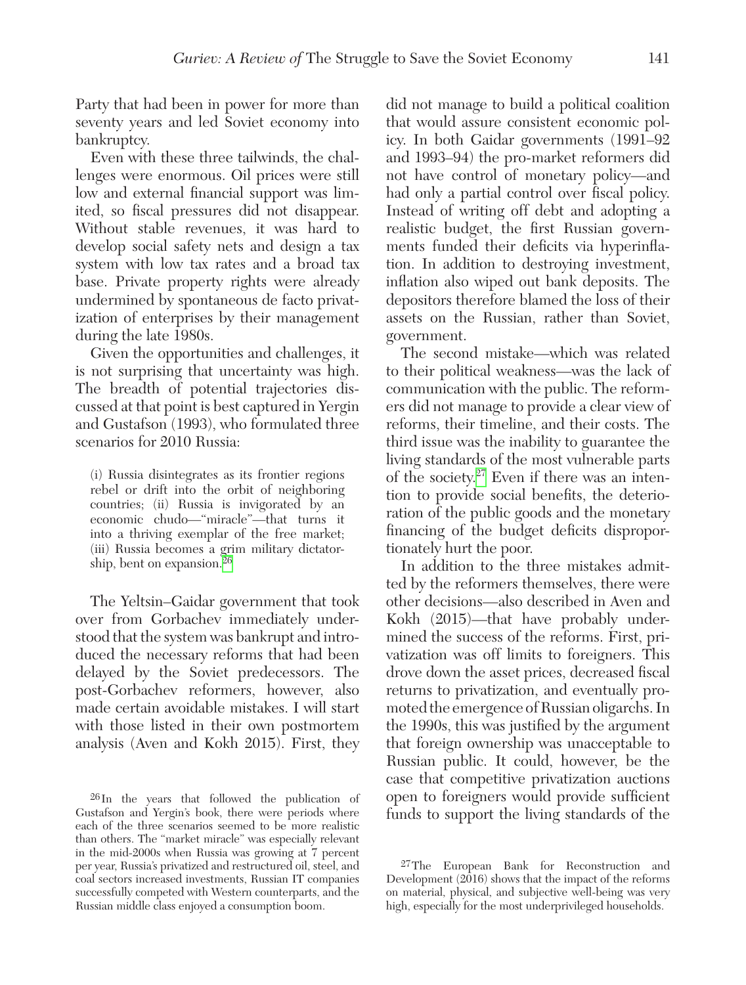Party that had been in power for more than seventy years and led Soviet economy into bankruptcy.

Even with these three tailwinds, the challenges were enormous. Oil prices were still low and external financial support was limited, so fiscal pressures did not disappear. Without stable revenues, it was hard to develop social safety nets and design a tax system with low tax rates and a broad tax base. Private property rights were already undermined by spontaneous de facto privatization of enterprises by their management during the late 1980s.

Given the opportunities and challenges, it is not surprising that uncertainty was high. The breadth of potential trajectories discussed at that point is best captured in Yergin and Gustafson (1993), who formulated three scenarios for 2010 Russia:

(i) Russia disintegrates as its frontier regions rebel or drift into the orbit of neighboring countries; (ii) Russia is invigorated by an economic chudo—"miracle"—that turns it into a thriving exemplar of the free market; (iii) Russia becomes a grim military dictatorship, bent on expansion.<sup>26</sup>

The Yeltsin–Gaidar government that took over from Gorbachev immediately understood that the system was bankrupt and introduced the necessary reforms that had been delayed by the Soviet predecessors. The post-Gorbachev reformers, however, also made certain avoidable mistakes. I will start with those listed in their own postmortem analysis (Aven and Kokh 2015). First, they did not manage to build a political coalition that would assure consistent economic policy. In both Gaidar governments (1991–92 and 1993–94) the pro-market reformers did not have control of monetary policy—and had only a partial control over fiscal policy. Instead of writing off debt and adopting a realistic budget, the first Russian governments funded their deficits via hyperinflation. In addition to destroying investment, inflation also wiped out bank deposits. The depositors therefore blamed the loss of their assets on the Russian, rather than Soviet, government.

The second mistake—which was related to their political weakness—was the lack of communication with the public. The reformers did not manage to provide a clear view of reforms, their timeline, and their costs. The third issue was the inability to guarantee the living standards of the most vulnerable parts of the society.<sup>27</sup> Even if there was an intention to provide social benefits, the deterioration of the public goods and the monetary financing of the budget deficits disproportionately hurt the poor.

In addition to the three mistakes admitted by the reformers themselves, there were other decisions—also described in Aven and Kokh (2015)—that have probably undermined the success of the reforms. First, privatization was off limits to foreigners. This drove down the asset prices, decreased fiscal returns to privatization, and eventually promoted the emergence of Russian oligarchs. In the 1990s, this was justified by the argument that foreign ownership was unacceptable to Russian public. It could, however, be the case that competitive privatization auctions open to foreigners would provide sufficient funds to support the living standards of the

<sup>26</sup>In the years that followed the publication of Gustafson and Yergin's book, there were periods where each of the three scenarios seemed to be more realistic than others. The "market miracle" was especially relevant in the mid-2000s when Russia was growing at 7 percent per year, Russia's privatized and restructured oil, steel, and coal sectors increased investments, Russian IT companies successfully competed with Western counterparts, and the Russian middle class enjoyed a consumption boom.

<sup>27</sup>The European Bank for Reconstruction and Development (2016) shows that the impact of the reforms on material, physical, and subjective well-being was very high, especially for the most underprivileged households.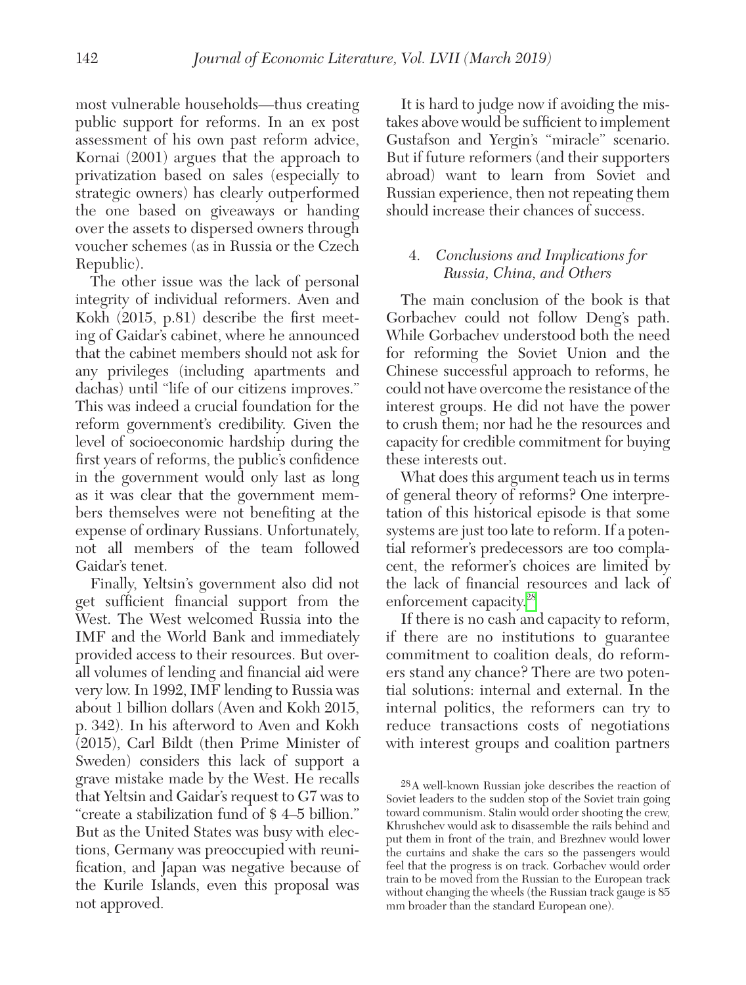most vulnerable households—thus creating public support for reforms. In an ex post assessment of his own past reform advice, Kornai (2001) argues that the approach to privatization based on sales (especially to strategic owners) has clearly outperformed the one based on giveaways or handing over the assets to dispersed owners through voucher schemes (as in Russia or the Czech Republic).

The other issue was the lack of personal integrity of individual reformers. Aven and Kokh (2015, p.81) describe the first meeting of Gaidar's cabinet, where he announced that the cabinet members should not ask for any privileges (including apartments and dachas) until "life of our citizens improves." This was indeed a crucial foundation for the reform government's credibility. Given the level of socioeconomic hardship during the first years of reforms, the public's confidence in the government would only last as long as it was clear that the government members themselves were not benefiting at the expense of ordinary Russians. Unfortunately, not all members of the team followed Gaidar's tenet.

Finally, Yeltsin's government also did not get sufficient financial support from the West. The West welcomed Russia into the IMF and the World Bank and immediately provided access to their resources. But overall volumes of lending and financial aid were very low. In 1992, IMF lending to Russia was about 1 billion dollars (Aven and Kokh 2015, p. 342). In his afterword to Aven and Kokh (2015), Carl Bildt (then Prime Minister of Sweden) considers this lack of support a grave mistake made by the West. He recalls that Yeltsin and Gaidar's request to G7 was to "create a stabilization fund of \$ 4–5 billion." But as the United States was busy with elections, Germany was preoccupied with reunification, and Japan was negative because of the Kurile Islands, even this proposal was not approved.

It is hard to judge now if avoiding the mistakes above would be sufficient to implement Gustafson and Yergin's "miracle" scenario. But if future reformers (and their supporters abroad) want to learn from Soviet and Russian experience, then not repeating them should increase their chances of success.

#### 4. *Conclusions and Implications for Russia, China, and Others*

The main conclusion of the book is that Gorbachev could not follow Deng's path. While Gorbachev understood both the need for reforming the Soviet Union and the Chinese successful approach to reforms, he could not have overcome the resistance of the interest groups. He did not have the power to crush them; nor had he the resources and capacity for credible commitment for buying these interests out.

What does this argument teach us in terms of general theory of reforms? One interpretation of this historical episode is that some systems are just too late to reform. If a potential reformer's predecessors are too complacent, the reformer's choices are limited by the lack of financial resources and lack of enforcement capacity.<sup>28</sup>

If there is no cash and capacity to reform, if there are no institutions to guarantee commitment to coalition deals, do reformers stand any chance? There are two potential solutions: internal and external. In the internal politics, the reformers can try to reduce transactions costs of negotiations with interest groups and coalition partners

<sup>28</sup>A well-known Russian joke describes the reaction of Soviet leaders to the sudden stop of the Soviet train going toward communism. Stalin would order shooting the crew, Khrushchev would ask to disassemble the rails behind and put them in front of the train, and Brezhnev would lower the curtains and shake the cars so the passengers would feel that the progress is on track. Gorbachev would order train to be moved from the Russian to the European track without changing the wheels (the Russian track gauge is 85 mm broader than the standard European one).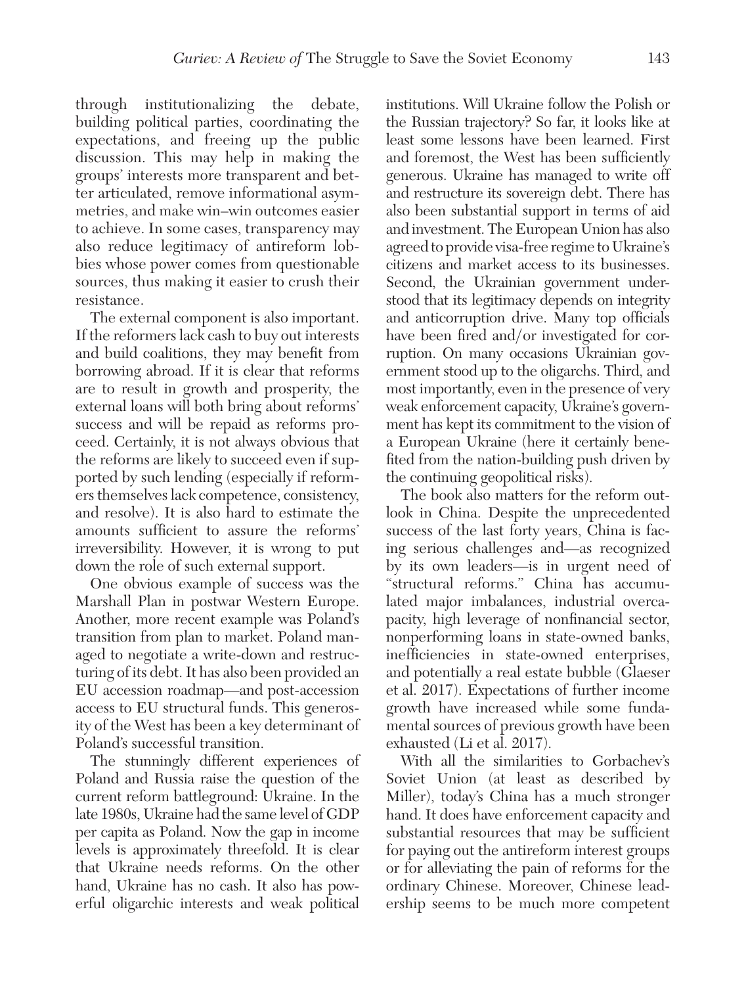through institutionalizing the debate, building political parties, coordinating the expectations, and freeing up the public discussion. This may help in making the groups' interests more transparent and better articulated, remove informational asymmetries, and make win–win outcomes easier to achieve. In some cases, transparency may also reduce legitimacy of antireform lobbies whose power comes from questionable sources, thus making it easier to crush their resistance.

The external component is also important. If the reformers lack cash to buy out interests and build coalitions, they may benefit from borrowing abroad. If it is clear that reforms are to result in growth and prosperity, the external loans will both bring about reforms' success and will be repaid as reforms proceed. Certainly, it is not always obvious that the reforms are likely to succeed even if supported by such lending (especially if reformers themselves lack competence, consistency, and resolve). It is also hard to estimate the amounts sufficient to assure the reforms' irreversibility. However, it is wrong to put down the role of such external support.

One obvious example of success was the Marshall Plan in postwar Western Europe. Another, more recent example was Poland's transition from plan to market. Poland managed to negotiate a write-down and restructuring of its debt. It has also been provided an EU accession roadmap—and post-accession access to EU structural funds. This generosity of the West has been a key determinant of Poland's successful transition.

The stunningly different experiences of Poland and Russia raise the question of the current reform battleground: Ukraine. In the late 1980s, Ukraine had the same level of GDP per capita as Poland. Now the gap in income levels is approximately threefold. It is clear that Ukraine needs reforms. On the other hand, Ukraine has no cash. It also has powerful oligarchic interests and weak political

institutions. Will Ukraine follow the Polish or the Russian trajectory? So far, it looks like at least some lessons have been learned. First and foremost, the West has been sufficiently generous. Ukraine has managed to write off and restructure its sovereign debt. There has also been substantial support in terms of aid and investment. The European Union has also agreed to provide visa-free regime to Ukraine's citizens and market access to its businesses. Second, the Ukrainian government understood that its legitimacy depends on integrity and anticorruption drive. Many top officials have been fired and/or investigated for corruption. On many occasions Ukrainian government stood up to the oligarchs. Third, and most importantly, even in the presence of very weak enforcement capacity, Ukraine's government has kept its commitment to the vision of a European Ukraine (here it certainly benefited from the nation-building push driven by the continuing geopolitical risks).

The book also matters for the reform outlook in China. Despite the unprecedented success of the last forty years, China is facing serious challenges and—as recognized by its own leaders—is in urgent need of "structural reforms." China has accumulated major imbalances, industrial overcapacity, high leverage of nonfinancial sector, nonperforming loans in state-owned banks, inefficiencies in state-owned enterprises, and potentially a real estate bubble (Glaeser et al. 2017). Expectations of further income growth have increased while some fundamental sources of previous growth have been exhausted (Li et al. 2017).

With all the similarities to Gorbachev's Soviet Union (at least as described by Miller), today's China has a much stronger hand. It does have enforcement capacity and substantial resources that may be sufficient for paying out the antireform interest groups or for alleviating the pain of reforms for the ordinary Chinese. Moreover, Chinese leadership seems to be much more competent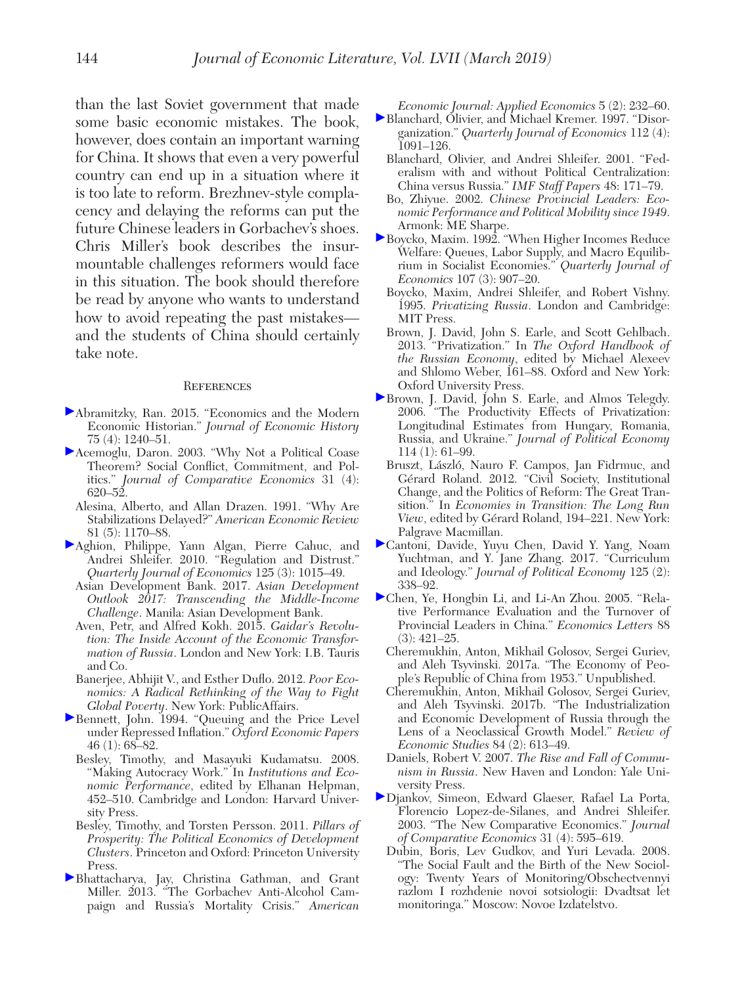than the last Soviet government that made some basic economic mistakes. The book, however, does contain an important warning for China. It shows that even a very powerful country can end up in a situation where it is too late to reform. Brezhnev-style complacency and delaying the reforms can put the future Chinese leaders in Gorbachev's shoes. Chris Miller's book describes the insurmountable challenges reformers would face in this situation. The book should therefore be read by anyone who wants to understand how to avoid repeating the past mistakes and the students of China should certainly take note.

#### **REFERENCES**

- Abramitzky, Ran. 2015. "Economics and the Modern Economic Historian." *Journal of Economic History* 75 (4): 1240–51.
- Acemoglu, Daron. 2003. "Why Not a Political Coase Theorem? Social Conflict, Commitment, and Politics." *Journal of Comparative Economics* 31 (4): 620–52.
	- Alesina, Alberto, and Allan Drazen. 1991. "Why Are Stabilizations Delayed?" *American Economic Review* 81 (5): 1170–88.
- Aghion, Philippe, Yann Algan, Pierre Cahuc, and Andrei Shleifer. 2010. "Regulation and Distrust." *Quarterly Journal of Economics* 125 (3): 1015–49.
	- Asian Development Bank. 2017. *Asian Development Outlook 2017: Transcending the Middle-Income Challenge*. Manila: Asian Development Bank.
	- Aven, Petr, and Alfred Kokh. 2015. *Gaidar's Revolution: The Inside Account of the Economic Transformation of Russia*. London and New York: I.B. Tauris and Co.
	- Banerjee, Abhijit V., and Esther Duflo. 2012. *Poor Economics: A Radical Rethinking of the Way to Fight Global Poverty*. New York: PublicAffairs.
- Bennett, John. 1994. "Queuing and the Price Level under Repressed Inflation." *Oxford Economic Papers* 46 (1): 68–82.
	- Besley, Timothy, and Masayuki Kudamatsu. 2008. "Making Autocracy Work." In *Institutions and Economic Performance*, edited by Elhanan Helpman, 452–510. Cambridge and London: Harvard University Press.
	- Besley, Timothy, and Torsten Persson. 2011. *Pillars of Prosperity: The Political Economics of Development Clusters*. Princeton and Oxford: Princeton University Press.
- Bhattacharya, Jay, Christina Gathman, and Grant Miller. 2013. "The Gorbachev Anti-Alcohol Campaign and Russia's Mortality Crisis." *American*

*Economic Journal: Applied Economics* 5 (2): 232–60.

- Blanchard, Olivier, and Michael Kremer. 1997. "Disorganization." *Quarterly Journal of Economics* 112 (4): 1091–126.
	- Blanchard, Olivier, and Andrei Shleifer. 2001. "Federalism with and without Political Centralization: China versus Russia." *IMF Staff Papers* 48: 171–79.
	- Bo, Zhiyue. 2002. *Chinese Provincial Leaders: Economic Performance and Political Mobility since 1949*. Armonk: ME Sharpe.
- Boycko, Maxim. 1992. "When Higher Incomes Reduce Welfare: Queues, Labor Supply, and Macro Equilibrium in Socialist Economies." *Quarterly Journal of Economics* 107 (3): 907–20.
	- Boycko, Maxim, Andrei Shleifer, and Robert Vishny. 1995. *Privatizing Russia*. London and Cambridge: MIT Press.
	- Brown, J. David, John S. Earle, and Scott Gehlbach. 2013. "Privatization." In *The Oxford Handbook of the Russian Economy*, edited by Michael Alexeev and Shlomo Weber, 161–88. Oxford and New York: Oxford University Press.
- Brown, J. David, John S. Earle, and Almos Telegdy. 2006. "The Productivity Effects of Privatization: Longitudinal Estimates from Hungary, Romania, Russia, and Ukraine." *Journal of Political Economy* 114 (1): 61–99.
	- Bruszt, László, Nauro F. Campos, Jan Fidrmuc, and Gérard Roland. 2012. "Civil Society, Institutional Change, and the Politics of Reform: The Great Transition." In *Economies in Transition: The Long Run View*, edited by Gérard Roland, 194–221. New York: Palgrave Macmillan.
- Cantoni, Davide, Yuyu Chen, David Y. Yang, Noam Yuchtman, and Y. Jane Zhang. 2017. "Curriculum and Ideology." *Journal of Political Economy* 125 (2): 338–92.
- Chen, Ye, Hongbin Li, and Li-An Zhou. 2005. "Relative Performance Evaluation and the Turnover of Provincial Leaders in China." *Economics Letters* 88 (3): 421–25.
	- Cheremukhin, Anton, Mikhail Golosov, Sergei Guriev, and Aleh Tsyvinski. 2017a. "The Economy of People's Republic of China from 1953." Unpublished.
	- Cheremukhin, Anton, Mikhail Golosov, Sergei Guriev, and Aleh Tsyvinski. 2017b. "The Industrialization and Economic Development of Russia through the Lens of a Neoclassical Growth Model." *Review of Economic Studies* 84 (2): 613–49.
	- Daniels, Robert V. 2007. *The Rise and Fall of Communism in Russia*. New Haven and London: Yale University Press.
- Djankov, Simeon, Edward Glaeser, Rafael La Porta, Florencio Lopez-de-Silanes, and Andrei Shleifer. 2003. "The New Comparative Economics." *Journal of Comparative Economics* 31 (4): 595–619.
	- Dubin, Boris, Lev Gudkov, and Yuri Levada. 2008. "The Social Fault and the Birth of the New Sociology: Twenty Years of Monitoring/Obschectvennyi razlom I rozhdenie novoi sotsiologii: Dvadtsat let monitoringa." Moscow: Novoe Izdatelstvo.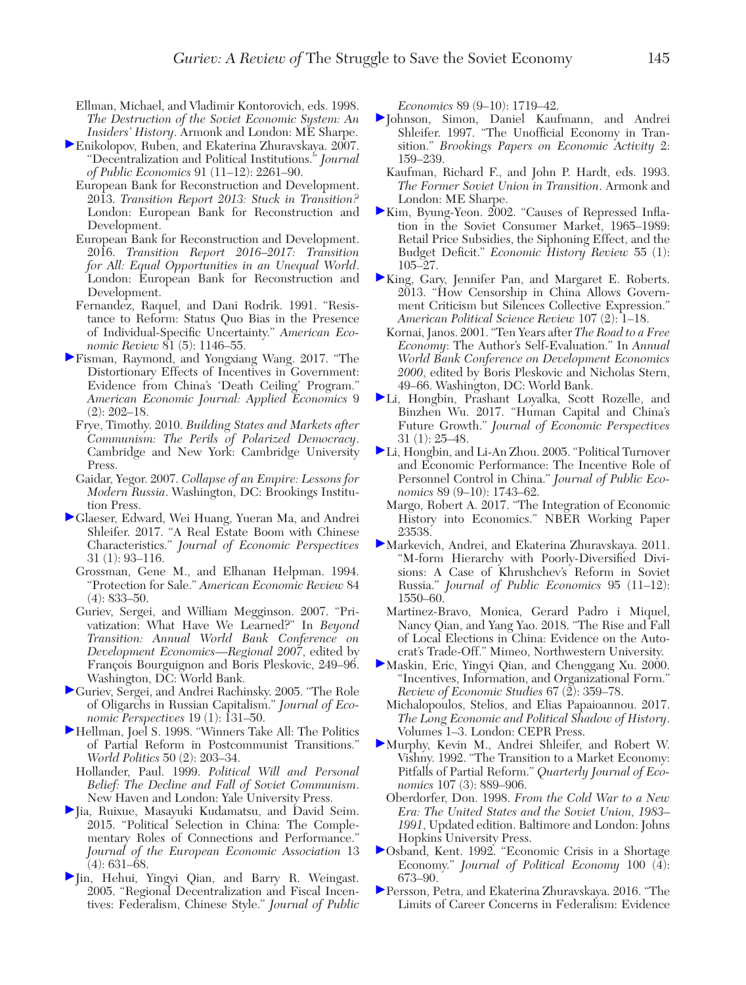- Ellman, Michael, and Vladimir Kontorovich, eds. 1998. *The Destruction of the Soviet Economic System: An Insiders' History*. Armonk and London: ME Sharpe.
- Enikolopov, Ruben, and Ekaterina Zhuravskaya. 2007. "Decentralization and Political Institutions." *Journal of Public Economics* 91 (11–12): 2261–90.
	- European Bank for Reconstruction and Development. 2013. *Transition Report 2013: Stuck in Transition?* London: European Bank for Reconstruction and Development.
	- European Bank for Reconstruction and Development. 2016. *Transition Report 2016–2017: Transition for All: Equal Opportunities in an Unequal World*. London: European Bank for Reconstruction and Development.
	- Fernandez, Raquel, and Dani Rodrik. 1991. "Resistance to Reform: Status Quo Bias in the Presence of Individual-Specific Uncertainty." *American Economic Review* 81 (5): 1146–55.
- Fisman, Raymond, and Yongxiang Wang. 2017. "The Distortionary Effects of Incentives in Government: Evidence from China's 'Death Ceiling' Program." *American Economic Journal: Applied Economics* 9 (2): 202–18.
	- Frye, Timothy. 2010. *Building States and Markets after Communism: The Perils of Polarized Democracy*. Cambridge and New York: Cambridge University Press.
	- Gaidar, Yegor. 2007. *Collapse of an Empire: Lessons for Modern Russia*. Washington, DC: Brookings Institution Press.
- Glaeser, Edward, Wei Huang, Yueran Ma, and Andrei Shleifer. 2017. "A Real Estate Boom with Chinese Characteristics." *Journal of Economic Perspectives* 31 (1): 93–116.
	- Grossman, Gene M., and Elhanan Helpman. 1994. "Protection for Sale." *American Economic Review* 84 (4): 833–50.
	- Guriev, Sergei, and William Megginson. 2007. "Privatization: What Have We Learned?" In *Beyond Transition: Annual World Bank Conference on Development Economics—Regional 2007*, edited by François Bourguignon and Boris Pleskovic, 249–96. Washington, DC: World Bank.
- [G](http://pubs.aeaweb.org/action/showLinks?doi=10.1257%2Fjel.20171470&system=10.1257%2F0895330053147994&citationId=p_38)uriev, Sergei, and Andrei Rachinsky. 2005. "The Role of Oligarchs in Russian Capitalism." *Journal of Economic Perspectives* 19 (1): 131–50.
- [H](http://pubs.aeaweb.org/action/showLinks?doi=10.1257%2Fjel.20171470&crossref=10.1017%2FS0043887100008091&citationId=p_39)ellman, Joel S. 1998. "Winners Take All: The Politics of Partial Reform in Postcommunist Transitions." *World Politics* 50 (2): 203–34.
	- Hollander, Paul. 1999. *Political Will and Personal Belief: The Decline and Fall of Soviet Communism*. New Haven and London: Yale University Press.
- [J](http://pubs.aeaweb.org/action/showLinks?doi=10.1257%2Fjel.20171470&crossref=10.1111%2Fjeea.12124&citationId=p_41)ia, Ruixue, Masayuki Kudamatsu, and David Seim. 2015. "Political Selection in China: The Complementary Roles of Connections and Performance." *Journal of the European Economic Association* 13  $(4): 631–68.$
- [J](http://pubs.aeaweb.org/action/showLinks?doi=10.1257%2Fjel.20171470&crossref=10.1016%2Fj.jpubeco.2004.11.008&citationId=p_42)in, Hehui, Yingyi Qian, and Barry R. Weingast. 2005. "Regional Decentralization and Fiscal Incentives: Federalism, Chinese Style." *Journal of Public*

*Economics* 89 (9–10): 1719–42.

- Johnson, Simon, Daniel Kaufmann, and Andrei Shleifer. 1997. "The Unofficial Economy in Transition." *Brookings Papers on Economic Activity* 2: 159–239.
	- Kaufman, Richard F., and John P. Hardt, eds. 1993. *The Former Soviet Union in Transition*. Armonk and London: ME Sharpe.
- Kim, Byung-Yeon. 2002. "Causes of Repressed Inflation in the Soviet Consumer Market, 1965–1989: Retail Price Subsidies, the Siphoning Effect, and the Budget Deficit." *Economic History Review* 55 (1): 105–27.
- King, Gary, Jennifer Pan, and Margaret E. Roberts. 2013. "How Censorship in China Allows Government Criticism but Silences Collective Expression." *American Political Science Review* 107 (2): 1–18.
	- Kornai, Janos. 2001. "Ten Years after *The Road to a Free Economy*: The Author's Self-Evaluation." In *Annual World Bank Conference on Development Economics 2000*, edited by Boris Pleskovic and Nicholas Stern, 49–66. Washington, DC: World Bank.
- Li, Hongbin, Prashant Loyalka, Scott Rozelle, and Binzhen Wu. 2017. "Human Capital and China's Future Growth." *Journal of Economic Perspectives* 31 (1): 25–48.
- Li, Hongbin, and Li-An Zhou. 2005. "Political Turnover and Economic Performance: The Incentive Role of Personnel Control in China." *Journal of Public Economics* 89 (9–10): 1743–62.
	- Margo, Robert A. 2017. "The Integration of Economic History into Economics." NBER Working Paper 23538.
- Markevich, Andrei, and Ekaterina Zhuravskaya. 2011. "M-form Hierarchy with Poorly-Diversified Divisions: A Case of Khrushchev's Reform in Soviet Russia." *Journal of Public Economics* 95 (11–12): 1550–60.
	- Martinez-Bravo, Monica, Gerard Padro i Miquel, Nancy Qian, and Yang Yao. 2018. "The Rise and Fall of Local Elections in China: Evidence on the Autocrat's Trade-Off." Mimeo, Northwestern University.
- Maskin, Eric, Yingyi Qian, and Chenggang Xu. 2000. "Incentives, Information, and Organizational Form." *Review of Economic Studies* 67  $(\tilde{2})$ : 359–78.
	- Michalopoulos, Stelios, and Elias Papaioannou. 2017. *The Long Economic and Political Shadow of History*. Volumes 1–3. London: CEPR Press.
- Murphy, Kevin M., Andrei Shleifer, and Robert W. Vishny. 1992. "The Transition to a Market Economy: Pitfalls of Partial Reform." *Quarterly Journal of Economics* 107 (3): 889–906.
- Oberdorfer, Don. 1998. *From the Cold War to a New Era: The United States and the Soviet Union, 1983– 1991*, Updated edition. Baltimore and London: Johns Hopkins University Press.
- Osband, Kent. 1992. "Economic Crisis in a Shortage Economy." *Journal of Political Economy* 100 (4): 673–90.
- Persson, Petra, and Ekaterina Zhuravskaya. 2016. "The Limits of Career Concerns in Federalism: Evidence